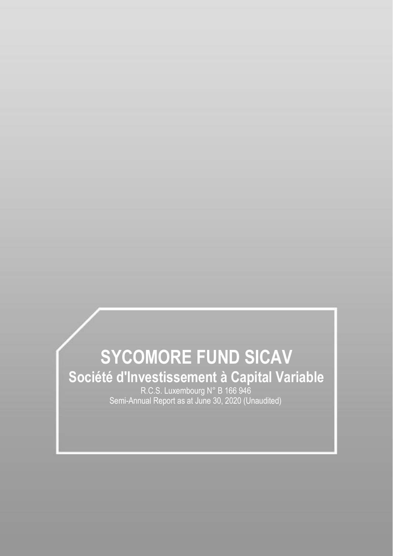# **SYCOMORE FUND SICAV Société d'Investissement à Capital Variable**

R.C.S. Luxembourg N° B 166 946 Semi-Annual Report as at June 30, 2020 (Unaudited)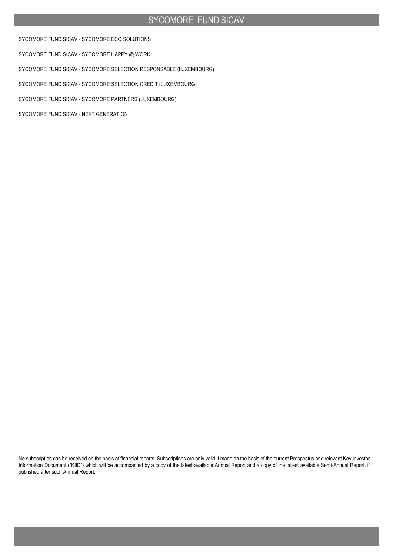SYCOMORE FUND SICAV - SYCOMORE ECO SOLUTIONS

SYCOMORE FUND SICAV - SYCOMORE HAPPY @ WORK

SYCOMORE FUND SICAV - SYCOMORE SELECTION RESPONSABLE (LUXEMBOURG)

SYCOMORE FUND SICAV - SYCOMORE SELECTION CREDIT (LUXEMBOURG)

SYCOMORE FUND SICAV - SYCOMORE PARTNERS (LUXEMBOURG)

SYCOMORE FUND SICAV - NEXT GENERATION

No subscription can be received on the basis of financial reports. Subscriptions are only valid if made on the basis of the current Prospectus and relevant Key Investor Information Document ("KIID") which will be accompanied by a copy of the latest available Annual Report and a copy of the latest available Semi-Annual Report, if published after such Annual Report.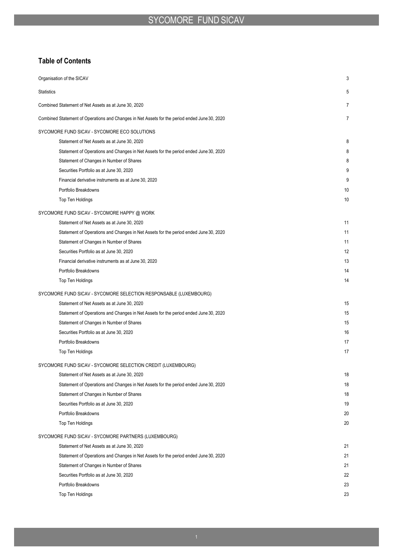## **Table of Contents**

| Organisation of the SICAV                                                                     | 3  |
|-----------------------------------------------------------------------------------------------|----|
| <b>Statistics</b>                                                                             | 5  |
| Combined Statement of Net Assets as at June 30, 2020                                          | 7  |
| Combined Statement of Operations and Changes in Net Assets for the period ended June 30, 2020 | 7  |
| SYCOMORE FUND SICAV - SYCOMORE ECO SOLUTIONS                                                  |    |
| Statement of Net Assets as at June 30, 2020                                                   | 8  |
| Statement of Operations and Changes in Net Assets for the period ended June 30, 2020          | 8  |
| Statement of Changes in Number of Shares                                                      | 8  |
| Securities Portfolio as at June 30, 2020                                                      | 9  |
| Financial derivative instruments as at June 30, 2020                                          | 9  |
| Portfolio Breakdowns                                                                          | 10 |
| Top Ten Holdings                                                                              | 10 |
| SYCOMORE FUND SICAV - SYCOMORE HAPPY @ WORK                                                   |    |
| Statement of Net Assets as at June 30, 2020                                                   | 11 |
| Statement of Operations and Changes in Net Assets for the period ended June 30, 2020          | 11 |
| Statement of Changes in Number of Shares                                                      | 11 |
| Securities Portfolio as at June 30, 2020                                                      | 12 |
| Financial derivative instruments as at June 30, 2020                                          | 13 |
| Portfolio Breakdowns                                                                          | 14 |
| Top Ten Holdings                                                                              | 14 |
| SYCOMORE FUND SICAV - SYCOMORE SELECTION RESPONSABLE (LUXEMBOURG)                             |    |
| Statement of Net Assets as at June 30, 2020                                                   | 15 |
| Statement of Operations and Changes in Net Assets for the period ended June 30, 2020          | 15 |
| Statement of Changes in Number of Shares                                                      | 15 |
| Securities Portfolio as at June 30, 2020                                                      | 16 |
| Portfolio Breakdowns                                                                          | 17 |
| Top Ten Holdings                                                                              | 17 |
| SYCOMORE FUND SICAV - SYCOMORE SELECTION CREDIT (LUXEMBOURG)                                  |    |
| Statement of Net Assets as at June 30, 2020                                                   | 18 |
| Statement of Operations and Changes in Net Assets for the period ended June 30, 2020          | 18 |
| Statement of Changes in Number of Shares                                                      | 18 |
| Securities Portfolio as at June 30, 2020                                                      | 19 |
| Portfolio Breakdowns                                                                          | 20 |
| Top Ten Holdings                                                                              | 20 |
| SYCOMORE FUND SICAV - SYCOMORE PARTNERS (LUXEMBOURG)                                          |    |
| Statement of Net Assets as at June 30, 2020                                                   | 21 |
| Statement of Operations and Changes in Net Assets for the period ended June 30, 2020          | 21 |
| Statement of Changes in Number of Shares                                                      | 21 |
| Securities Portfolio as at June 30, 2020                                                      | 22 |
| Portfolio Breakdowns                                                                          | 23 |
| Top Ten Holdings                                                                              | 23 |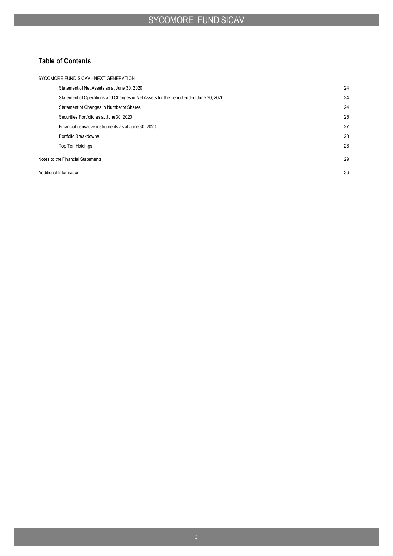## **Table of Contents**

| SYCOMORE FUND SICAV - NEXT GENERATION                                                |    |
|--------------------------------------------------------------------------------------|----|
| Statement of Net Assets as at June 30, 2020                                          | 24 |
| Statement of Operations and Changes in Net Assets for the period ended June 30, 2020 | 24 |
| Statement of Changes in Number of Shares                                             | 24 |
| Securities Portfolio as at June 30, 2020                                             | 25 |
| Financial derivative instruments as at June 30, 2020                                 | 27 |
| Portfolio Breakdowns                                                                 | 28 |
| <b>Top Ten Holdings</b>                                                              | 28 |
| Notes to the Financial Statements                                                    | 29 |
| Additional Information                                                               | 36 |
|                                                                                      |    |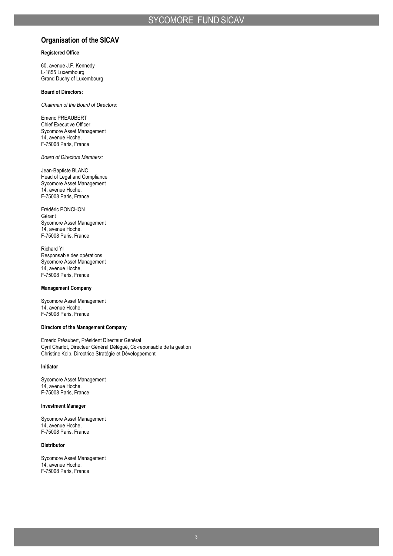## **Organisation of the SICAV**

### **Registered Office**

60, avenue J.F. Kennedy L-1855 Luxembourg Grand Duchy of Luxembourg

#### **Board of Directors:**

*Chairman of the Board of Directors:*

Emeric PREAUBERT Chief Executive Officer Sycomore Asset Management 14, avenue Hoche, F-75008 Paris, France

*Board of Directors Members:*

Jean-Baptiste BLANC Head of Legal and Compliance Sycomore Asset Management 14, avenue Hoche, F-75008 Paris, France

Frédéric PONCHON Gérant Sycomore Asset Management 14, avenue Hoche, F-75008 Paris, France

Richard YI Responsable des opérations Sycomore Asset Management 14, avenue Hoche, F-75008 Paris, France

#### **Management Company**

Sycomore Asset Management 14, avenue Hoche, F-75008 Paris, France

#### **Directors of the Management Company**

Emeric Préaubert, Président Directeur Général Cyril Charlot, Directeur Général Délégué, Co-reponsable de la gestion Christine Kolb, Directrice Stratégie et Développement

#### **Initiator**

Sycomore Asset Management 14, avenue Hoche, F-75008 Paris, France

#### **Investment Manager**

Sycomore Asset Management 14, avenue Hoche, F-75008 Paris, France

### **Distributor**

Sycomore Asset Management 14, avenue Hoche, F-75008 Paris, France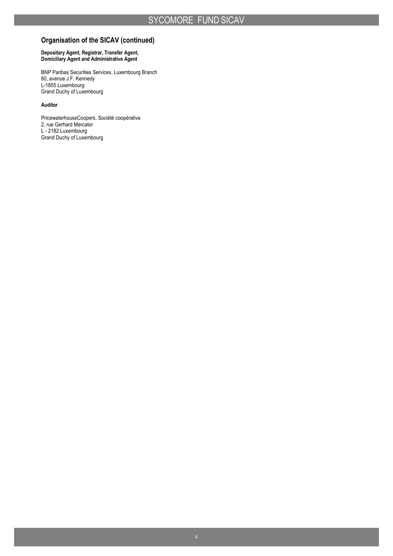## **Organisation of the SICAV (continued)**

#### **Depositary Agent, Registrar, Transfer Agent, Domiciliary Agent and Administrative Agent**

BNP Paribas Securities Services, Luxembourg Branch 60, avenue J.F. Kennedy L-1855 Luxembourg Grand Duchy of Luxembourg

### **Auditor**

PricewaterhouseCoopers, Société coopérative 2, rue Gerhard Mercator L - 2182 Luxembourg Grand Duchy of Luxembourg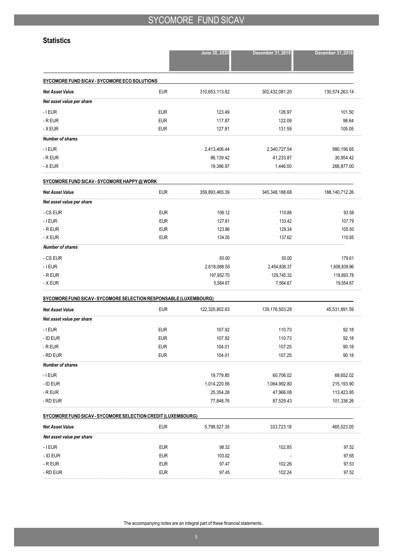### **Statistics**

|                                                                   |            | June 30, 2020  | December 31, 2019 | December 31, 2018 |
|-------------------------------------------------------------------|------------|----------------|-------------------|-------------------|
| SYCOMORE FUND SICAV - SYCOMORE ECO SOLUTIONS                      |            |                |                   |                   |
| <b>Net Asset Value</b>                                            | <b>EUR</b> | 310,653,113.82 | 302,432,081.20    | 130,574,263.14    |
| Net asset value per share                                         |            |                |                   |                   |
| $-$ I EUR                                                         | <b>EUR</b> | 123.49         | 126.97            | 101.50            |
| - R EUR                                                           | <b>EUR</b> | 117.87         | 122.09            | 98.64             |
| - X EUR                                                           | <b>EUR</b> | 127.81         | 131.59            | 105.05            |
| <b>Number of shares</b>                                           |            |                |                   |                   |
| $-I$ EUR                                                          |            | 2,413,406.44   | 2,340,727.54      | 980,156.65        |
| - R EUR                                                           |            | 86,139.42      | 41,233.87         | 30,954.42         |
| - X EUR                                                           |            | 19,396.97      | 1,446.00          | 266,877.00        |
| SYCOMORE FUND SICAV - SYCOMORE HAPPY @ WORK                       |            |                |                   |                   |
| <b>Net Asset Value</b>                                            | <b>EUR</b> | 359,893,465.39 | 345,348,188.68    | 188,140,712.26    |
| Net asset value per share                                         |            |                |                   |                   |
| - CS EUR                                                          | <b>EUR</b> | 106.12         | 110.88            | 93.58             |
| $-$ I EUR                                                         | <b>EUR</b> | 127.81         | 133.42            | 107.79            |
| - R EUR                                                           | <b>EUR</b> | 123.86         | 129.34            | 105.50            |
| - X EUR                                                           | <b>EUR</b> | 134.05         | 137.62            | 110.85            |
| <b>Number of shares</b>                                           |            |                |                   |                   |
| - CS EUR                                                          |            | 50.00          | 50.00             | 179.61            |
| $-$ I EUR                                                         |            | 2,618,088.55   | 2,454,836.37      | 1,608,839.96      |
| - R EUR                                                           |            | 197,952.70     | 129,745.32        | 118,893.78        |
| - X EUR                                                           |            | 5,564.67       | 7,564.67          | 19,554.67         |
| SYCOMORE FUND SICAV - SYCOMORE SELECTION RESPONSABLE (LUXEMBOURG) |            |                |                   |                   |
| <b>Net Asset Value</b>                                            | <b>EUR</b> | 122,320,802.63 | 139,176,503.28    | 45,531,891.59     |
| Net asset value per share                                         |            |                |                   |                   |
| $-$ I EUR                                                         | <b>EUR</b> | 107.92         | 110.73            | 92.18             |
| - ID EUR                                                          | <b>EUR</b> | 107.92         | 110.73            | 92.18             |
| $-R$ EUR                                                          | <b>EUR</b> | 104.01         | 107.25            | 90.18             |
| - RD EUR                                                          | <b>EUR</b> | 104.01         | 107.25            | 90.18             |
| Number of shares                                                  |            |                |                   |                   |
| $-I$ EUR                                                          |            | 19,779.85      | 60,706.02         | 68,652.02         |
| - ID EUR                                                          |            | 1,014,220.56   | 1,064,992.80      | 215,193.90        |
| - R EUR                                                           |            | 25,354.28      | 47,966.08         | 113,423.95        |
| - RD EUR                                                          |            | 77,848.76      | 87,529.43         | 101,336.26        |
| SYCOMORE FUND SICAV - SYCOMORE SELECTION CREDIT (LUXEMBOURG)      |            |                |                   |                   |
| Net Asset Value                                                   | <b>EUR</b> | 5,799,527.35   | 333,723.18        | 465,523.05        |
| Net asset value per share                                         |            |                |                   |                   |
| $-$ I EUR                                                         | <b>EUR</b> | 98.32          | 102.85            | 97.52             |
| - ID EUR                                                          | <b>EUR</b> | 103.02         |                   | 97.65             |
| $\hbox{-}\,R$ EUR                                                 | <b>EUR</b> | 97.47          | 102.26            | 97.53             |
| - RD EUR                                                          | <b>EUR</b> | 97.45          | 102.24            | 97.52             |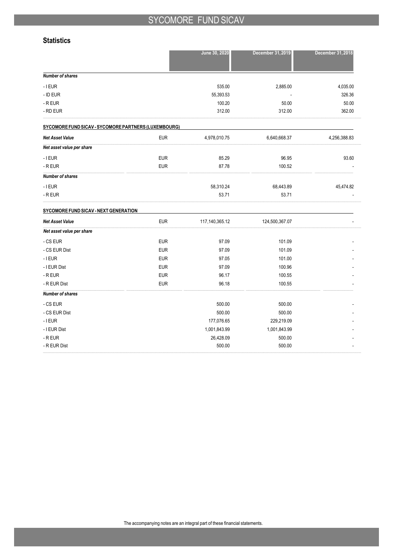### **Statistics**

|                                                      |            | June 30, 2020     | December 31, 2019 | December 31, 2018 |
|------------------------------------------------------|------------|-------------------|-------------------|-------------------|
|                                                      |            |                   |                   |                   |
| <b>Number of shares</b>                              |            |                   |                   |                   |
| $-$ I EUR                                            |            | 535.00            | 2,885.00          | 4,035.00          |
| - ID EUR                                             |            | 55,393.53         |                   | 326.36            |
| - R EUR                                              |            | 100.20            | 50.00             | 50.00             |
| - RD EUR                                             |            | 312.00            | 312.00            | 362.00            |
| SYCOMORE FUND SICAV - SYCOMORE PARTNERS (LUXEMBOURG) |            |                   |                   |                   |
| <b>Net Asset Value</b>                               | <b>EUR</b> | 4,978,010.75      | 6,640,668.37      | 4,256,388.83      |
| Net asset value per share                            |            |                   |                   |                   |
| $-$ I EUR                                            | <b>EUR</b> | 85.29             | 96.95             | 93.60             |
| - R EUR                                              | <b>EUR</b> | 87.78             | 100.52            |                   |
| <b>Number of shares</b>                              |            |                   |                   |                   |
| $-$ I EUR                                            |            | 58,310.24         | 68,443.89         | 45,474.82         |
| $-R$ EUR                                             |            | 53.71             | 53.71             |                   |
| SYCOMORE FUND SICAV - NEXT GENERATION                |            |                   |                   |                   |
| <b>Net Asset Value</b>                               | <b>EUR</b> | 117, 140, 365. 12 | 124,500,367.07    |                   |
| Net asset value per share                            |            |                   |                   |                   |
| - CS EUR                                             | <b>EUR</b> | 97.09             | 101.09            |                   |
| - CS EUR Dist                                        | <b>EUR</b> | 97.09             | 101.09            |                   |
| $-$ I EUR                                            | <b>EUR</b> | 97.05             | 101.00            |                   |
| - I EUR Dist                                         | <b>EUR</b> | 97.09             | 100.96            |                   |
| - R EUR                                              | <b>EUR</b> | 96.17             | 100.55            |                   |
| - R EUR Dist                                         | <b>EUR</b> | 96.18             | 100.55            |                   |
| <b>Number of shares</b>                              |            |                   |                   |                   |
| - CS EUR                                             |            | 500.00            | 500.00            |                   |
| - CS EUR Dist                                        |            | 500.00            | 500.00            |                   |
| $-$ I EUR                                            |            | 177,076.65        | 229,219.09        |                   |
| - I EUR Dist                                         |            | 1,001,843.99      | 1,001,843.99      |                   |
| $-R$ EUR                                             |            | 26,428.09         | 500.00            |                   |
| - R EUR Dist                                         |            | 500.00            | 500.00            |                   |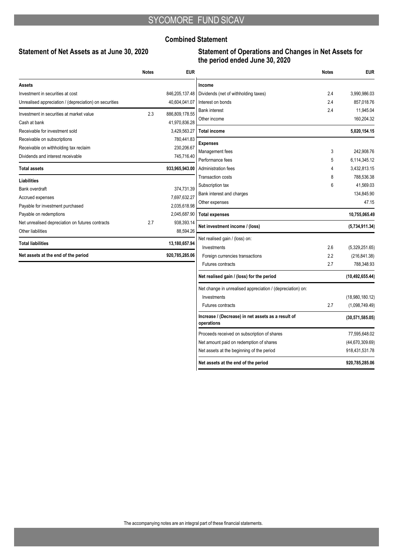### **Combined Statement**

## **Statement of Net Assets as at June 30, 2020**

## **Statement of Operations and Changes in Net Assets for the period ended June 30, 2020**

|                                                        | <b>Notes</b> | <b>EUR</b>     |                                                                  | <b>Notes</b> | <b>EUR</b>                   |
|--------------------------------------------------------|--------------|----------------|------------------------------------------------------------------|--------------|------------------------------|
| Assets                                                 |              |                | Income                                                           |              |                              |
| Investment in securities at cost                       |              | 846,205,137.48 | Dividends (net of withholding taxes)                             | 2.4          | 3,990,986.03                 |
| Unrealised appreciation / (depreciation) on securities |              | 40,604,041.07  | Interest on bonds                                                | 2.4          | 857.018.76                   |
| Investment in securities at market value               | 2.3          | 886,809,178.55 | <b>Bank interest</b>                                             | 2.4          | 11,945.04                    |
| Cash at bank                                           |              | 41,970,836.28  | Other income                                                     |              | 160,204.32                   |
| Receivable for investment sold                         |              | 3,429,563.27   | <b>Total income</b>                                              |              | 5,020,154.15                 |
| Receivable on subscriptions                            |              | 780,441.83     |                                                                  |              |                              |
| Receivable on withholding tax reclaim                  |              | 230,206.67     | <b>Expenses</b>                                                  |              |                              |
| Dividends and interest receivable                      |              | 745,716.40     | Management fees                                                  | 3            | 242.908.76                   |
| <b>Total assets</b>                                    |              | 933,965,943.00 | Performance fees<br>Administration fees                          | 5<br>4       | 6,114,345.12<br>3,432,813.15 |
|                                                        |              |                | <b>Transaction costs</b>                                         | 8            | 788,536.38                   |
| <b>Liabilities</b>                                     |              |                | Subscription tax                                                 | 6            | 41,569.03                    |
| Bank overdraft                                         |              | 374,731.39     | Bank interest and charges                                        |              | 134,845.90                   |
| Accrued expenses                                       |              | 7,697,632.27   | Other expenses                                                   |              | 47.15                        |
| Payable for investment purchased                       |              | 2,035,618.98   |                                                                  |              |                              |
| Payable on redemptions                                 |              | 2,045,687.90   | <b>Total expenses</b>                                            |              | 10,755,065.49                |
| Net unrealised depreciation on futures contracts       | 2.7          | 938,393.14     | Net investment income / (loss)                                   |              | (5,734,911.34)               |
| Other liabilities                                      |              | 88,594.26      | Net realised gain / (loss) on:                                   |              |                              |
| <b>Total liabilities</b>                               |              | 13,180,657.94  | Investments                                                      | 2.6          | (5,329,251.65)               |
| Net assets at the end of the period                    |              | 920,785,285.06 | Foreign currencies transactions                                  | 2.2          | (216, 841.38)                |
|                                                        |              |                | <b>Futures contracts</b>                                         | 2.7          | 788,348.93                   |
|                                                        |              |                | Net realised gain / (loss) for the period                        |              | (10, 492, 655.44)            |
|                                                        |              |                | Net change in unrealised appreciation / (depreciation) on:       |              |                              |
|                                                        |              |                | Investments                                                      |              | (18,980,180.12)              |
|                                                        |              |                | <b>Futures contracts</b>                                         | 2.7          | (1,098,749.49)               |
|                                                        |              |                | Increase / (Decrease) in net assets as a result of<br>operations |              | (30,571,585.05)              |
|                                                        |              |                | Proceeds received on subscription of shares                      |              | 77,595,648.02                |
|                                                        |              |                | Net amount paid on redemption of shares                          |              | (44, 670, 309.69)            |
|                                                        |              |                | Net assets at the beginning of the period                        |              | 918,431,531.78               |
|                                                        |              |                | Net assets at the end of the period                              |              | 920.785.285.06               |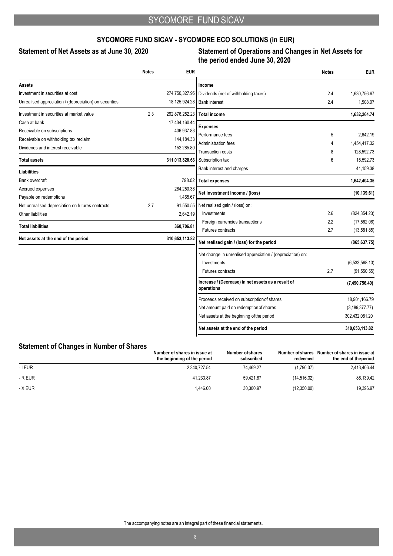## **SYCOMORE FUND SICAV - SYCOMORE ECO SOLUTIONS (in EUR)**

## **Statement of Net Assets as at June 30, 2020 Statement of Operations and Changes in Net Assets for the period ended June 30, 2020**

| <b>Notes</b> | <b>EUR</b>     |                                                                   | <b>Notes</b>                                                                                                                                                                                                                             | <b>EUR</b>             |
|--------------|----------------|-------------------------------------------------------------------|------------------------------------------------------------------------------------------------------------------------------------------------------------------------------------------------------------------------------------------|------------------------|
|              |                | Income                                                            |                                                                                                                                                                                                                                          |                        |
|              | 274,750,327.95 | Dividends (net of withholding taxes)                              | 2.4                                                                                                                                                                                                                                      | 1,630,756.67           |
|              |                | <b>Bank interest</b>                                              | 2.4                                                                                                                                                                                                                                      | 1,508.07               |
| 2.3          | 292,876,252.23 | <b>Total income</b>                                               |                                                                                                                                                                                                                                          | 1,632,264.74           |
|              | 17,434,160.44  |                                                                   |                                                                                                                                                                                                                                          |                        |
|              |                |                                                                   |                                                                                                                                                                                                                                          | 2.642.19               |
|              | 144, 184. 33   |                                                                   | 4                                                                                                                                                                                                                                        | 1,454,417.32           |
|              | 152,285.80     | Transaction costs                                                 | 8                                                                                                                                                                                                                                        | 128.592.73             |
|              |                | Subscription tax                                                  | 6                                                                                                                                                                                                                                        | 15,592.73              |
|              |                | Bank interest and charges                                         |                                                                                                                                                                                                                                          | 41,159.38              |
|              | 798.02         | <b>Total expenses</b>                                             |                                                                                                                                                                                                                                          | 1,642,404.35           |
|              | 264,250.38     |                                                                   |                                                                                                                                                                                                                                          | (10, 139.61)           |
|              |                |                                                                   |                                                                                                                                                                                                                                          |                        |
|              |                |                                                                   |                                                                                                                                                                                                                                          |                        |
|              |                |                                                                   |                                                                                                                                                                                                                                          | (824, 354.23)          |
|              | 360,706.81     |                                                                   |                                                                                                                                                                                                                                          | (17,562.06)            |
|              |                |                                                                   |                                                                                                                                                                                                                                          | (13,581.85)            |
|              |                | Net realised gain / (loss) for the period                         |                                                                                                                                                                                                                                          | (865, 637.75)          |
|              |                | Net change in unrealised appreciation / (depreciation) on:        |                                                                                                                                                                                                                                          |                        |
|              |                | Investments                                                       |                                                                                                                                                                                                                                          | (6,533,568.10)         |
|              |                | <b>Futures contracts</b>                                          | 2.7                                                                                                                                                                                                                                      | (91, 550.55)           |
|              |                | Increase / (Decrease) in net assets as a result of<br>operations  |                                                                                                                                                                                                                                          | (7,490,756.40)         |
|              |                | Proceeds received on subscription of shares                       |                                                                                                                                                                                                                                          | 18,901,166.79          |
|              |                | Net amount paid on redemption of shares                           |                                                                                                                                                                                                                                          | (3, 189, 377.77)       |
|              |                | Net assets at the beginning of the period                         |                                                                                                                                                                                                                                          | 302,432,081.20         |
|              |                | Net assets at the end of the period                               |                                                                                                                                                                                                                                          | 310,653,113.82         |
|              | 2.7            | 406,937.83<br>1,465.67<br>91,550.55<br>2,642.19<br>310,653,113.82 | 18,125,924.28<br><b>Expenses</b><br>Performance fees<br>Administration fees<br>311,013,820.63<br>Net investment income / (loss)<br>Net realised gain / (loss) on:<br>Investments<br>Foreign currencies transactions<br>Futures contracts | 5<br>2.6<br>2.2<br>2.7 |

## **Statement of Changes in Number of Shares**

|           | Number of shares in issue at<br>the beginning of the period | Number of shares<br>subscribed | Number of shares<br>redeemed | Number of shares in issue at<br>the end of the period |
|-----------|-------------------------------------------------------------|--------------------------------|------------------------------|-------------------------------------------------------|
| $-$ I EUR | 2.340.727.54                                                | 74.469.27                      | (1,790.37)                   | 2,413,406.44                                          |
| - R EUR   | 41.233.87                                                   | 59.421.87                      | (14.516.32)                  | 86,139.42                                             |
| - X EUR   | 1.446.00                                                    | 30.300.97                      | (12,350.00)                  | 19.396.97                                             |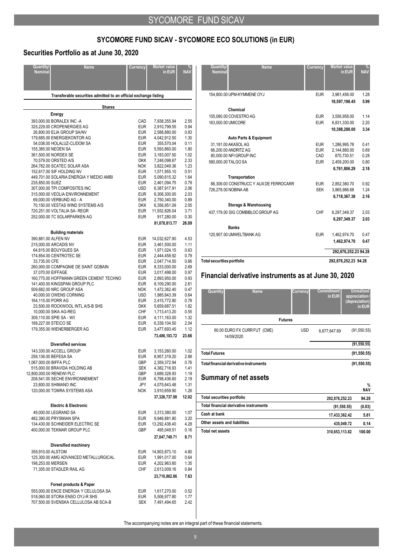## **SYCOMORE FUND SICAV - SYCOMORE ECO SOLUTIONS (in EUR)**

## **Securities Portfolio as at June 30, 2020**

| Quantity/<br><b>Name</b><br><b>Nominal</b>                                                                                                                                                                                        | Currency                                                           | <b>Market value</b><br>in EUR                                                                                                | <b>NAV</b>                                                   |
|-----------------------------------------------------------------------------------------------------------------------------------------------------------------------------------------------------------------------------------|--------------------------------------------------------------------|------------------------------------------------------------------------------------------------------------------------------|--------------------------------------------------------------|
| Transferable securities admitted to an official exchange listing                                                                                                                                                                  |                                                                    |                                                                                                                              |                                                              |
|                                                                                                                                                                                                                                   | <b>Shares</b>                                                      |                                                                                                                              |                                                              |
| Energy                                                                                                                                                                                                                            |                                                                    |                                                                                                                              |                                                              |
| 393,000.00 BORALEX INC -A<br>325,229.00 CROPENERGIES AG<br>26,800.00 ELIA GROUP SA/NV<br>179,685.00 ENERGIEKONTOR AG                                                                                                              | CAD<br>EUR<br>EUR<br><b>EUR</b>                                    | 7,938,355.94<br>2,910,799.55<br>2,588,880.00<br>4,042,912.50                                                                 | 2.55<br>0.94<br>0.83<br>1.30                                 |
| 54,038.00 HOLALUZ-CLIDOM SA<br>155,385.00 NEOEN SA<br>361,500.00 NORDEX SE<br>70,579.00 ORSTED A/S                                                                                                                                | EUR<br><b>EUR</b><br>EUR<br><b>DKK</b>                             | 355,570.04<br>5,593,860.00<br>3,183,007.50<br>7,248,098.67                                                                   | 0.11<br>1.80<br>1.02<br>2.33                                 |
| 264,782.00 SCATEC SOLAR ASA<br>152,617.00 SIF HOLDING NV<br>449,701.00 SOLARIA ENERGIA Y MEDIO AMBI<br>235,850.00 SUEZ<br>307,000.00 TPI COMPOSITES INC                                                                           | <b>NOK</b><br><b>EUR</b><br><b>EUR</b><br>EUR<br>USD               | 3,822,049.36<br>1,571,955.10<br>5,090,615.32<br>2,461,094.75<br>6,387,917.91                                                 | 1.23<br>0.51<br>1.64<br>0.79<br>2.06                         |
| 315,000.00 VEOLIA ENVIRONNEMENT<br>69,000.00 VERBUND AG - A<br>70,150.00 VESTAS WIND SYSTEMS A/S<br>720,251.00 VOLTALIA SA-REGR<br>252,000.00 7C SOLARPARKEN AG                                                                   | EUR<br>EUR<br><b>DKK</b><br>EUR<br>EUR                             | 6,306,300.00<br>2,750,340.00<br>6,356,951.09<br>11,552,826.04<br>917,280.00                                                  | 2.03<br>0.89<br>2.05<br>3.71<br>0.30                         |
|                                                                                                                                                                                                                                   |                                                                    | 81,078,813.77                                                                                                                | 26.09                                                        |
| <b>Building materials</b><br>390,881.00 ALFEN NV                                                                                                                                                                                  | EUR                                                                | 14,032,627.90                                                                                                                | 4.53                                                         |
| 215,000.00 ARCADIS NV<br>64,815.00 BOUYGUES SA<br>174,854.00 CENTROTEC SE<br>33,735.00 CFE<br>260,000.00 COMPAGNIE DE SAINT GOBAIN                                                                                                | <b>EUR</b><br>EUR<br><b>EUR</b><br>EUR<br>EUR                      | 3,461,500.00<br>1,971,024.15<br>2,444,458.92<br>2,047,714.50<br>8,333,000.00                                                 | 1.11<br>0.63<br>0.79<br>0.66<br>2.69                         |
| 37,070.00 EIFFAGE<br>160,775.00 HOFFMANN GREEN CEMENT TECHNO<br>141,400.00 KINGSPAN GROUP PLC<br>509,682.00 NRC GROUP ASA                                                                                                         | EUR<br>EUR<br>EUR<br><b>NOK</b>                                    | 3,017,498.00<br>2,893,950.00<br>8,109,290.00<br>1,472,362.40                                                                 | 0.97<br>0.93<br>2.61<br>0.47                                 |
| 40,000.00 OWENS CORNING<br>164,115.00 PORR AG<br>23,500.00 ROCKWOOL INTL A/S-B SHS<br>10,000.00 SIKA AG-REG<br>309,110.00 SPIE SA - W/I                                                                                           | USD<br>EUR<br><b>DKK</b><br>CHF<br>EUR                             | 1,985,843.39<br>2,415,772.80<br>5,659,687.51<br>1,713,413.20<br>4,111,163.00                                                 | 0.64<br>0.78<br>1.82<br>0.55<br>1.32                         |
| 189,227.00 STEICO SE<br>179,355.00 WIENERBERGER AG<br><b>Diversified services</b>                                                                                                                                                 | <b>EUR</b><br><b>EUR</b>                                           | 6,339,104.50<br>3,477,693.45<br>73,486,103.72                                                                                | 2.04<br>1.12<br>23.66                                        |
| 143,330.00 ACCELL GROUP<br>258,136.00 BEFESA SA<br>1,067,000.00 BIFFA PLC<br>515,000.00 BRAVIDA HOLDING AB<br>12,800,000.00 RENEWI PLC<br>208,541.00 SECHE ENVIRONNEMENT<br>23,800.00 SHIMANO INC<br>120,000.00 TOMRA SYSTEMS ASA | <b>EUR</b><br>EUR<br>GBP<br>SEK<br>GBP<br>EUR<br>JPY<br><b>NOK</b> | 3,153,260.00<br>8,957,319.20<br>2,359,372.94<br>4,382,716.93<br>3,689,328.93<br>6,798,436.60<br>4,075,643.48<br>3,910,659.90 | 1.02<br>2.88<br>0.76<br>1.41<br>1.19<br>2.19<br>1.31<br>1.26 |
| <b>Electric &amp; Electronic</b>                                                                                                                                                                                                  |                                                                    | 37,326,737.98                                                                                                                | 12.02                                                        |
| 49,000.00 LEGRAND SA<br>482,390.00 PRYSMIAN SPA<br>134,430.00 SCHNEIDER ELECTRIC SE<br>400.000.00 TEKMAR GROUP PLC                                                                                                                | EUR<br>EUR<br>EUR<br><b>GBP</b>                                    | 3,313,380.00<br>9,946,881.80<br>13,292,438.40<br>495,049.51<br>27,047,749.71                                                 | 1.07<br>3.20<br>4.28<br>0.16<br>8.71                         |
| Diversified machinery                                                                                                                                                                                                             |                                                                    |                                                                                                                              |                                                              |
| 359,910.00 ALSTOM<br>125,300.00 AMG ADVANCED METALLURGICAL<br>198,253.00 MERSEN<br>71,305.00 STADLER RAIL AG                                                                                                                      | EUR<br>EUR<br>EUR<br><b>CHF</b>                                    | 14,903,873.10<br>1,991,017.00<br>4,202,963.60<br>2,613,009.16<br>23,710,862.86                                               | 4.80<br>0.64<br>1.35<br>0.84<br>7.63                         |
| Forest products & Paper<br>555,000.00 ENCE ENERGIA Y CELULOSA SA<br>518,060.00 STORA ENSO OYJ-R SHS<br>707,500.00 SVENSKA CELLULOSA AB SCA-B                                                                                      | EUR<br>EUR<br><b>SEK</b>                                           | 1,617,270.00<br>5,506,977.80<br>7,491,494.65                                                                                 | 0.52<br>1.77<br>2.42                                         |

| Quantity/<br><b>Nominal</b>       | <b>Name</b>                            | Currency   | <b>Market value</b><br>in EUR | %<br><b>NAV</b> |
|-----------------------------------|----------------------------------------|------------|-------------------------------|-----------------|
|                                   |                                        |            |                               |                 |
| 154.800.00 UPM-KYMMENE OYJ        |                                        | <b>EUR</b> | 3,981,456.00                  | 1.28            |
|                                   |                                        |            | 18.597.198.45                 | 5.99            |
| Chemical                          |                                        |            |                               |                 |
| 105.080.00 COVESTRO AG            |                                        | <b>EUR</b> | 3,556,958.00                  | 1.14            |
| 163,000.00 UMICORE                |                                        | <b>EUR</b> | 6,831,330.00                  | 2.20            |
|                                   |                                        |            | 10,388,288.00                 | 3.34            |
|                                   | <b>Auto Parts &amp; Equipment</b>      |            |                               |                 |
| 31.181.00 AKASOL AG               |                                        | <b>EUR</b> | 1.286.995.78                  | 0.41            |
| 66.200.00 ANDRITZ AG              |                                        | <b>EUR</b> | 2,144,880.00                  | 0.69            |
| 80,000.00 NFI GROUP INC           |                                        | CAD        | 870,730.51                    | 0.28            |
| 580,000.00 TALGO SA               |                                        | <b>EUR</b> | 2,459,200.00                  | 0.80            |
|                                   |                                        |            | 6.761.806.29                  | 2.18            |
| Transportation                    |                                        |            |                               |                 |
|                                   | 88.309.00 CONSTRUCC Y AUX DE FERROCARR | <b>EUR</b> | 2,852,380.70                  | 0.92            |
| 726,278.00 NOBINA AB              |                                        | <b>SEK</b> | 3,865,986.68                  | 1.24            |
|                                   |                                        |            | 6,718,367.38                  | 2.16            |
|                                   | <b>Storage &amp; Warehousing</b>       |            |                               |                 |
|                                   | 437,179.00 SIG COMBIBLOCGROUP AG       | CHF        | 6.297.349.37                  | 2.03            |
|                                   |                                        |            | 6,297,349.37                  | 2.03            |
| <b>Banks</b>                      |                                        |            |                               |                 |
| 120,907.00 UMWELTBANK AG          |                                        | <b>EUR</b> | 1,462,974.70                  | 0.47            |
|                                   |                                        |            | 1,462,974.70                  | 0.47            |
|                                   |                                        |            | 292,876,252.23 94.28          |                 |
| <b>Total securities portfolio</b> |                                        |            | 292,876,252.23 94.28          |                 |

## **Financial derivative instruments as at June 30, 2020**

| Quantity                               | <b>Name</b>                  | <b>Currency</b> | <b>Commitment</b><br>in EUR | <b>Unrealised</b><br>appreciation/<br>(depreciation)<br>in EUR |
|----------------------------------------|------------------------------|-----------------|-----------------------------|----------------------------------------------------------------|
|                                        |                              | <b>Futures</b>  |                             |                                                                |
| 14/09/2020                             | 60.00 EURO FX CURR FUT (CME) | <b>USD</b>      | 6.677.647.69                | (91, 550.55)                                                   |
|                                        |                              |                 |                             | (91, 550.55)                                                   |
| <b>Total Futures</b>                   |                              |                 |                             | (91, 550.55)                                                   |
| Total financial derivative instruments |                              |                 |                             | (91, 550.55)                                                   |

## **Summary of net assets**

|                                        |                | <b>NAV</b> |
|----------------------------------------|----------------|------------|
| Total securities portfolio             | 292.876.252.23 | 94.28      |
| Total financial derivative instruments | (91, 550.55)   | (0.03)     |
| Cash at bank                           | 17.433.362.42  | 5.61       |
| Other assets and liabilities           | 435.049.72     | 0.14       |
| Total net assets                       | 310,653,113.82 | 100.00     |

**%**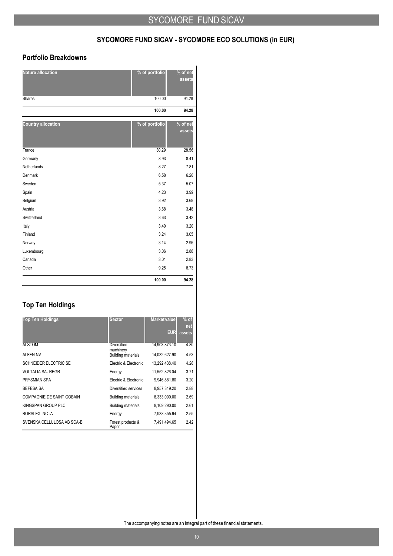# **SYCOMORE FUND SICAV - SYCOMORE ECO SOLUTIONS (in EUR)**

## **Portfolio Breakdowns**

| <b>Nature allocation</b>  | % of portfolio | % of net<br>assets |
|---------------------------|----------------|--------------------|
| Shares                    | 100.00         | 94.28              |
|                           | 100.00         | 94.28              |
| <b>Country allocation</b> | % of portfolio | % of net<br>assets |
| France                    | 30.29          | 28.56              |
| Germany                   | 8.93           | 8.41               |
| Netherlands               | 8.27           | 7.81               |
| <b>Denmark</b>            | 6.58           | 6.20               |
| Sweden                    | 5.37           | 5.07               |
| Spain                     | 4.23           | 3.99               |
| Belgium                   | 3.92           | 3.69               |
| Austria                   | 3.68           | 3.48               |
| Switzerland               | 3.63           | 3.42               |
| Italy                     | 3.40           | 3.20               |
| Finland                   | 3.24           | 3.05               |
| Norway                    | 3.14           | 2.96               |
| Luxembourg                | 3.06           | 2.88               |
| Canada                    | 3.01           | 2.83               |
| Other                     | 9.25           | 8.73               |
|                           | 100.00         | 94.28              |

## **Top Ten Holdings**

| <b>Top Ten Holdings</b>      | <b>Sector</b>                   | Market value  | $%$ of<br>net |
|------------------------------|---------------------------------|---------------|---------------|
|                              |                                 | <b>EUR</b>    | assets        |
| <b>ALSTOM</b>                | <b>Diversified</b><br>machinery | 14,903,873.10 | 4.80          |
| <b>ALFEN NV</b>              | <b>Building materials</b>       | 14,032,627.90 | 4.53          |
| <b>SCHNEIDER ELECTRIC SE</b> | Electric & Electronic           | 13.292.438.40 | 4.28          |
| <b>VOLTALIA SA- REGR</b>     | Energy                          | 11.552.826.04 | 3.71          |
| PRYSMIAN SPA                 | Electric & Electronic           | 9,946,881.80  | 3.20          |
| <b>BEFESA SA</b>             | Diversified services            | 8,957,319.20  | 2.88          |
| COMPAGNIE DE SAINT GOBAIN    | <b>Building materials</b>       | 8,333,000.00  | 2.69          |
| KINGSPAN GROUP PLC           | <b>Building materials</b>       | 8,109,290.00  | 2.61          |
| BORALEX INC-A                | Energy                          | 7,938,355.94  | 2.55          |
| SVENSKA CELLULOSA AB SCA-B   | Forest products &<br>Paper      | 7.491.494.65  | 2.42          |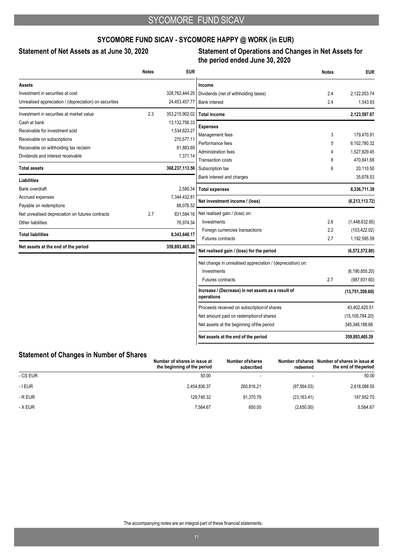## **SYCOMORE FUND SICAV - SYCOMORE HAPPY @ WORK (in EUR)**

## **Statement of Net Assets as at June 30, 2020 Statement of Operations and Changes in Net Assets for the period ended June 30, 2020**

|                                                        | <b>Notes</b> | <b>EUR</b>       |                                                                  | <b>Notes</b> | <b>EUR</b>        |
|--------------------------------------------------------|--------------|------------------|------------------------------------------------------------------|--------------|-------------------|
| Assets                                                 |              |                  | Income                                                           |              |                   |
| Investment in securities at cost                       |              | 328,762,444.25   | Dividends (net of withholding taxes)                             | 2.4          | 2,122,053.74      |
| Unrealised appreciation / (depreciation) on securities |              | 24,453,457.77    | <b>Bank interest</b>                                             | 2.4          | 1,543.93          |
| Investment in securities at market value               | 2.3          | 353,215,902.02   | <b>Total income</b>                                              |              | 2,123,597.67      |
| Cash at bank                                           |              | 13, 132, 756. 33 | <b>Expenses</b>                                                  |              |                   |
| Receivable for investment sold                         |              | 1,534,623.27     | Management fees                                                  | 3            | 179,470.91        |
| Receivable on subscriptions                            |              | 270,577.11       | Performance fees                                                 | 5            | 6,102,780.32      |
| Receivable on withholding tax reclaim                  |              | 81,883.69        | <b>Administration fees</b>                                       | 4            | 1,527,829.45      |
| Dividends and interest receivable                      |              | 1,371.14         | <b>Transaction costs</b>                                         | 8            | 470,841.68        |
| <b>Total assets</b>                                    |              | 368,237,113.56   | Subscription tax                                                 | 6            | 20,110.50         |
| <b>Liabilities</b>                                     |              |                  | Bank interest and charges                                        |              | 35,678.53         |
| Bank overdraft                                         |              | 2,580.34         | <b>Total expenses</b>                                            |              | 8,336,711.39      |
| Accrued expenses                                       |              | 7,344,432.81     |                                                                  |              |                   |
| Payable on redemptions                                 |              | 88,076.52        | Net investment income / (loss)                                   |              | (6,213,113.72)    |
| Net unrealised depreciation on futures contracts       | 2.7          | 831,584.16       | Net realised gain / (loss) on:                                   |              |                   |
| Other liabilities                                      |              | 76,974.34        | Investments                                                      | 2.6          | (1,448,632.65)    |
| <b>Total liabilities</b>                               |              | 8,343,648.17     | Foreign currencies transactions                                  | 2.2          | (103, 422.02)     |
|                                                        |              |                  | <b>Futures contracts</b>                                         | 2.7          | 1,192,595.59      |
| Net assets at the end of the period                    |              | 359,893,465.39   | Net realised gain / (loss) for the period                        |              | (6,572,572.80)    |
|                                                        |              |                  | Net change in unrealised appreciation / (depreciation) on:       |              |                   |
|                                                        |              |                  | Investments                                                      |              | (6, 190, 855.20)  |
|                                                        |              |                  | <b>Futures contracts</b>                                         | 2.7          | (987, 931.60)     |
|                                                        |              |                  | Increase / (Decrease) in net assets as a result of<br>operations |              | (13,751,359.60)   |
|                                                        |              |                  | Proceeds received on subscription of shares                      |              | 43,402,420.51     |
|                                                        |              |                  | Net amount paid on redemption of shares                          |              | (15, 105, 784.20) |
|                                                        |              |                  | Net assets at the beginning of the period                        |              | 345,348,188.68    |
|                                                        |              |                  | Net assets at the end of the period                              |              | 359,893,465.39    |

### **Statement of Changes in Number of Shares**

|          | Number of shares in issue at<br>the beginning of the period | Number of shares<br>subscribed | redeemed     | Number of shares Number of shares in issue at<br>the end of the period |
|----------|-------------------------------------------------------------|--------------------------------|--------------|------------------------------------------------------------------------|
| - CS EUR | 50.00                                                       |                                |              | 50.00                                                                  |
| - I EUR  | 2.454.836.37                                                | 260.816.21                     | (97, 564.03) | 2,618,088.55                                                           |
| - R EUR  | 129.745.32                                                  | 91.370.79                      | (23, 163.41) | 197,952.70                                                             |
| - X EUR  | 7,564.67                                                    | 650.00                         | (2,650.00)   | 5,564.67                                                               |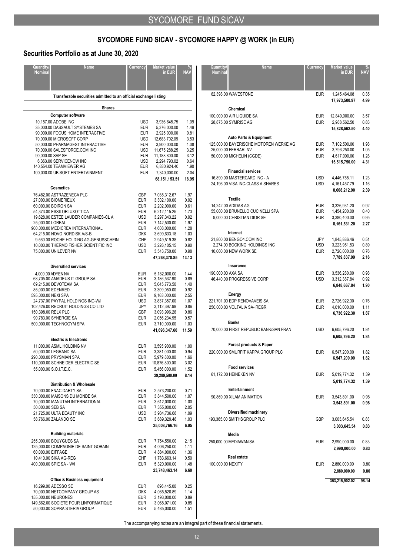# **SYCOMORE FUND SICAV - SYCOMORE HAPPY @ WORK (in EUR)**

## **Securities Portfolio as at June 30, 2020**

| <b>Quantity/</b><br><b>Nominal</b>                                                       | <b>Name</b>                                                                                                                                                                                                                                                   | Currency                                                                                                            | Market value<br>in EUR                                                                                                                                                                        | <b>NAV</b>                                                                                    |
|------------------------------------------------------------------------------------------|---------------------------------------------------------------------------------------------------------------------------------------------------------------------------------------------------------------------------------------------------------------|---------------------------------------------------------------------------------------------------------------------|-----------------------------------------------------------------------------------------------------------------------------------------------------------------------------------------------|-----------------------------------------------------------------------------------------------|
|                                                                                          | Transferable securities admitted to an official exchange listing                                                                                                                                                                                              |                                                                                                                     |                                                                                                                                                                                               |                                                                                               |
|                                                                                          | <b>Shares</b>                                                                                                                                                                                                                                                 |                                                                                                                     |                                                                                                                                                                                               |                                                                                               |
|                                                                                          | <b>Computer software</b>                                                                                                                                                                                                                                      |                                                                                                                     |                                                                                                                                                                                               |                                                                                               |
| 10,157.00 ADOBE INC<br>90,000.00 SAP SE                                                  | 35,000.00 DASSAULT SYSTEMES SA<br>90,000.00 FOCUS HOME INTERACTIVE<br>70.000.00 MICROSOFT CORP<br>50,000.00 PHARMAGEST INTERACTIVE<br>70,000.00 SALESFORCE.COM INC<br>6,363.00 SERVICENOW INC<br>140,554.00 TEAMVIEWER AG<br>100,000.00 UBISOFT ENTERTAINMENT | <b>USD</b><br><b>EUR</b><br><b>EUR</b><br>USD<br><b>EUR</b><br>USD<br>EUR<br>USD<br><b>EUR</b><br><b>EUR</b>        | 3,936,645.75<br>5,376,000.00<br>2,925,000.00<br>12,683,702.09<br>3,900,000.00<br>11,675,288.25<br>11,188,800.00<br>2,294,793.02<br>6,830,924.40<br>7,340,000.00<br>68,151,153.51              | 1.09<br>1.49<br>0.81<br>3.53<br>1.08<br>3.25<br>3.12<br>0.64<br>1.90<br>2.04<br>18.95         |
|                                                                                          | Cosmetics                                                                                                                                                                                                                                                     |                                                                                                                     |                                                                                                                                                                                               |                                                                                               |
| 27,000.00 BIOMERIEUX<br>60,000.00 BOIRON SA<br>25,000.00 LOREAL<br>75,000.00 UNILEVER NV | 76,482.00 ASTRAZENECA PLC<br>54,373.00 ESSILORLUXOTTICA<br>19,628.00 ESTEE LAUDER COMPANIES-CL A<br>900,000.00 MEDICREA INTERNATIONAL<br>64,215.00 NOVO NORDISK A/S-B<br>9,560.00 ROCHE HOLDING AG-GENUSSCHEIN<br>10,000.00 THERMO FISHER SCIENTIFIC INC      | <b>GBP</b><br><b>EUR</b><br>EUR<br>EUR<br><b>USD</b><br>EUR<br>EUR<br><b>DKK</b><br><b>CHF</b><br>USD<br><b>EUR</b> | 7,085,312.67<br>3,302,100.00<br>2,202,000.00<br>6,212,115.25<br>3,297,343.22<br>7,142,500.00<br>4,608,000.00<br>3,699,633.18<br>2,949,519.38<br>3,226,105.15<br>3,543,750.00<br>47,268,378.85 | 1.97<br>0.92<br>0.61<br>1.73<br>0.92<br>1.97<br>1.28<br>1.03<br>0.82<br>0.90<br>0.98<br>13.13 |
|                                                                                          | <b>Diversified services</b>                                                                                                                                                                                                                                   |                                                                                                                     |                                                                                                                                                                                               |                                                                                               |
| 4,000.00 ADYEN NV<br>85,000.00 EDENRED<br>595,000.00 NEXI SPA<br>150,398.00 RELX PLC     | 68,705.00 AMADEUS IT GROUP SA<br>69,215.00 DEVOTEAM SA<br>24,737.00 PAYPAL HOLDINGS INC-W/I<br>102,426.00 RECRUIT HOLDINGS CO LTD<br>90,783.00 SYNERGIE SA<br>500,000.00 TECHNOGYM SPA                                                                        | <b>EUR</b><br><b>EUR</b><br>EUR<br><b>EUR</b><br><b>EUR</b><br>USD<br>JPY<br><b>GBP</b><br><b>EUR</b><br><b>EUR</b> | 5,182,000.00<br>3,186,537.90<br>5,045,773.50<br>3,309,050.00<br>9,163,000.00<br>3,837,357.00<br>3,112,397.99<br>3,093,996.26<br>2,056,234.95<br>3,710,000.00<br>41,696,347.60                 | 1.44<br>0.89<br>1.40<br>0.92<br>2.55<br>1.07<br>0.86<br>0.86<br>0.57<br>1.03<br>11.59         |
|                                                                                          | <b>Electric &amp; Electronic</b>                                                                                                                                                                                                                              |                                                                                                                     |                                                                                                                                                                                               |                                                                                               |
| 50,000.00 LEGRAND SA<br>55,000.00 S.O.I.T.E.C.                                           | 11,000.00 ASML HOLDING NV<br>290,000.00 PRYSMIAN SPA<br>110,000.00 SCHNEIDER ELECTRIC SE                                                                                                                                                                      | <b>EUR</b><br><b>EUR</b><br>EUR<br>EUR<br><b>EUR</b>                                                                | 3,595,900.00<br>3,381,000.00<br>5,979,800.00<br>10,876,800.00<br>5,456,000.00<br>29,289,500.00                                                                                                | 1.00<br>0.94<br>1.66<br>3.02<br>1.52<br>8.14                                                  |
|                                                                                          | <b>Distribution &amp; Wholesale</b><br>70,000.00 FNAC DARTY SA                                                                                                                                                                                                | <b>EUR</b>                                                                                                          | 2,573,200.00                                                                                                                                                                                  | 0.71                                                                                          |
| 50,000.00 SEB SA<br>58,766.00 ZALANDO SE                                                 | 330,000.00 MAISONS DU MONDE SA<br>70,000.00 MANUTAN INTERNATIONAL<br>21,725.00 ULTA BEAUTY INC                                                                                                                                                                | <b>EUR</b><br><b>EUR</b><br><b>EUR</b><br>USD<br><b>EUR</b>                                                         | 3,844,500.00<br>3,612,000.00<br>7,355,000.00<br>3,934,736.68<br>3,689,329.48<br>25,008,766.16                                                                                                 | 1.07<br>1.00<br>2.05<br>1.09<br>1.03<br>6.95                                                  |
|                                                                                          | <b>Building materials</b>                                                                                                                                                                                                                                     |                                                                                                                     |                                                                                                                                                                                               |                                                                                               |
| 60,000.00 EIFFAGE<br>10,410.00 SIKA AG-REG<br>400,000.00 SPIE SA - W/I                   | 255,000.00 BOUYGUES SA<br>125,000.00 COMPAGNIE DE SAINT GOBAIN                                                                                                                                                                                                | <b>EUR</b><br><b>EUR</b><br><b>EUR</b><br><b>CHF</b><br><b>EUR</b>                                                  | 7,754,550.00<br>4,006,250.00<br>4,884,000.00<br>1,783,663.14<br>5,320,000.00<br>23,748,463.14                                                                                                 | 2.15<br>1.11<br>1.36<br>0.50<br>1.48<br>6.60                                                  |
| 16,299.00 ADESSO SE                                                                      | <b>Office &amp; Business equipment</b>                                                                                                                                                                                                                        | EUR                                                                                                                 | 896,445.00                                                                                                                                                                                    | 0.25                                                                                          |
| 155,000.00 NEURONES                                                                      | 70,000.00 NETCOMPANY GROUP AS<br>149,662.00 SOCIETE POUR LINFORMATIQUE<br>50,000.00 SOPRA STERIA GROUP                                                                                                                                                        | DKK<br><b>EUR</b><br><b>EUR</b><br>EUR                                                                              | 4,085,520.89<br>3,193,000.00<br>3,068,071.00<br>5,485,000.00                                                                                                                                  | 1.14<br>0.89<br>0.85<br>1.51                                                                  |

| Quantity/<br>Nominal | <b>Name</b>                                   | Currency   | Market value<br>in EUR          | %<br>NAV     |
|----------------------|-----------------------------------------------|------------|---------------------------------|--------------|
|                      | 62,398.00 WAVESTONE                           | EUR        | 1,245,464.08                    | 0.35         |
|                      |                                               |            | 17,973,500.97                   | 4.99         |
|                      | Chemical                                      |            |                                 |              |
|                      | 100,000.00 AIR LIQUIDE SA                     | EUR        | 12,840,000.00                   | 3.57         |
|                      | 28,875.00 SYMRISE AG                          | <b>EUR</b> | 2,988,562.50                    | 0.83         |
|                      |                                               |            | 15,828,562.50                   | 4.40         |
|                      | <b>Auto Parts &amp; Equipment</b>             |            |                                 |              |
|                      | 125,000.00 BAYERISCHE MOTOREN WERKE AG        | EUR        | 7,102,500.00                    | 1.98         |
|                      | 25,000.00 FERRARI NV                          | EUR        | 3,796,250.00                    | 1.05         |
|                      | 50,000.00 MICHELIN (CGDE)                     | <b>EUR</b> | 4,617,000.00                    | 1.28         |
|                      |                                               |            | 15,515,750.00                   | 4.31         |
|                      | <b>Financial services</b>                     |            |                                 |              |
|                      | 16,890.00 MASTERCARD INC - A                  | <b>USD</b> | 4,446,755.11                    | 1.23         |
|                      | 24,196.00 VISA INC-CLASS A SHARES             | <b>USD</b> | 4, 161, 457. 79<br>8,608,212.90 | 1.16<br>2.39 |
|                      | <b>Textile</b>                                |            |                                 |              |
|                      | 14,242.00 ADIDAS AG                           | <b>EUR</b> | 3,326,931.20                    | 0.92         |
|                      | 55,000.00 BRUNELLO CUCINELLI SPA              | <b>EUR</b> | 1,454,200.00                    | 0.40         |
|                      | 9,000.00 CHRISTIAN DIOR SE                    | <b>EUR</b> | 3,380,400.00                    | 0.95         |
|                      |                                               |            | 8,161,531.20                    | 2.27         |
|                      | Internet                                      |            |                                 |              |
|                      | 21,800.00 BENGO4.COM INC                      | JPY        | 1,845,886.46                    | 0.51         |
|                      | 2,274.00 BOOKING HOLDINGS INC                 | USD        | 3,223,951.53                    | 0.89         |
|                      | 10,000.00 NEW WORK SE                         | <b>EUR</b> | 2,720,000.00                    | 0.76         |
|                      |                                               |            | 7,789,837.99                    | 2.16         |
|                      | Insurance                                     |            |                                 |              |
| 190,000.00 AXA SA    |                                               | <b>EUR</b> | 3,536,280.00                    | 0.98         |
|                      | 46,440.00 PROGRESSIVE CORP                    | <b>USD</b> | 3,312,387.84                    | 0.92         |
|                      |                                               |            | 6,848,667.84                    | 1.90         |
|                      | Energy                                        |            |                                 |              |
|                      | 221,701.00 EDP RENOVAVEIS SA                  | <b>EUR</b> | 2,726,922.30                    | 0.76         |
|                      | 250,000.00 VOLTALIA SA-REGR                   | <b>EUR</b> | 4,010,000.00                    | 1.11         |
|                      |                                               |            | 6,736,922.30                    | 1.87         |
|                      | <b>Banks</b>                                  |            |                                 |              |
|                      | 70,000.00 FIRST REPUBLIC BANK/SAN FRAN        | <b>USD</b> | 6,605,796.20                    | 1.84         |
|                      |                                               |            | 6,605,796.20                    | 1.84         |
|                      | Forest products & Paper                       |            |                                 |              |
|                      | 220,000.00 SMURFIT KAPPA GROUP PLC            | <b>EUR</b> | 6,547,200.00<br>6,547,200.00    | 1.82<br>1.82 |
|                      |                                               |            |                                 |              |
|                      | <b>Food services</b><br>61,172.00 HEINEKEN NV | <b>EUR</b> | 5,019,774.32                    | 1.39         |
|                      |                                               |            | 5,019,774.32                    | 1.39         |
|                      | Entertainment                                 |            |                                 |              |
|                      | 90,869.00 XILAM ANIMATION                     | <b>EUR</b> | 3,543,891.00                    | 0.98         |
|                      |                                               |            | 3,543,891.00                    | 0.98         |
|                      | Diversified machinery                         |            |                                 |              |
|                      | 193,365.00 SMITHS GROUP PLC                   | <b>GBP</b> | 3,003,645.54                    | 0.83         |
|                      |                                               |            | 3,003,645.54                    | 0.83         |
|                      | Media                                         |            |                                 |              |
|                      | 250,000.00 MEDIAWAN SA                        | EUR        | 2,990,000.00                    | 0.83         |
|                      |                                               |            | 2,990,000.00                    | 0.83         |
|                      | Real estate                                   |            |                                 |              |
| 100,000.00 NEXITY    |                                               | <b>EUR</b> | 2,880,000.00                    | 0.80         |
|                      |                                               |            | 2,880,000.00                    | 0.80         |
|                      |                                               |            |                                 |              |
|                      |                                               |            | 353,215,902.02                  | 98.14        |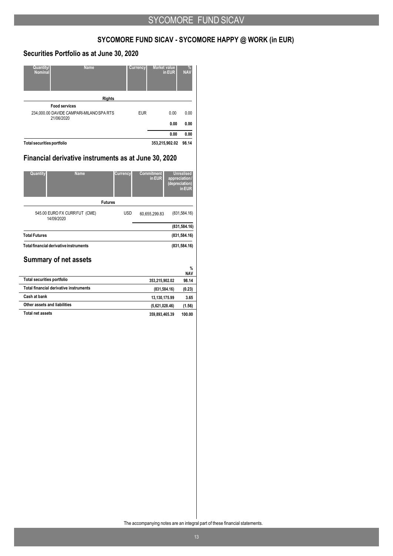## **SYCOMORE FUND SICAV - SYCOMORE HAPPY @ WORK (in EUR)**

## **Securities Portfolio as at June 30, 2020**

| <b>Quantity/</b><br><b>Nominal</b> | <b>Name</b>                                            | Currency   | Market value<br>in EUR | %<br><b>NAV</b> |
|------------------------------------|--------------------------------------------------------|------------|------------------------|-----------------|
|                                    | <b>Rights</b>                                          |            |                        |                 |
|                                    | <b>Food services</b>                                   |            |                        |                 |
|                                    | 234,000.00 DAVIDE CAMPARI-MILANO SPA RTS<br>21/06/2020 | <b>EUR</b> | 0.00                   | 0.00            |
|                                    |                                                        |            | 0.00                   | 0.00            |
|                                    |                                                        |            | 0.00                   | 0.00            |
| <b>Total securities portfolio</b>  |                                                        |            | 353,215,902.02         | 98.14           |

## **Financial derivative instruments as at June 30, 2020**

| Quantity<br><b>Name</b>                     | <b>Currency</b> | <b>Commitment</b><br>in EUR | <b>Unrealised</b><br>appreciation/<br>(depreciation)<br>in EUR |
|---------------------------------------------|-----------------|-----------------------------|----------------------------------------------------------------|
|                                             | <b>Futures</b>  |                             |                                                                |
| 545.00 EURO FX CURR FUT (CME)<br>14/09/2020 | <b>USD</b>      | 60,655,299.83               | (831, 584.16)                                                  |
|                                             |                 |                             | (831, 584.16)                                                  |
| <b>Total Futures</b>                        |                 |                             | (831, 584.16)                                                  |
| Total financial derivative instruments      |                 |                             | (831, 584.16)                                                  |
| <b>Summary of net assets</b>                |                 |                             |                                                                |
|                                             |                 |                             | $\%$<br><b>NAV</b>                                             |
| <b>Total securities portfolio</b>           |                 | 353,215,902.02              | 98.14                                                          |
| Total financial derivative instruments      |                 | (831, 584.16)               | (0.23)                                                         |
| Cash at bank                                |                 | 13,130,175.99               | 3.65                                                           |
| Other assets and liabilities                |                 | (5,621,028.46)              | (1.56)                                                         |

**Total net assets 359,893,465.39 100.00**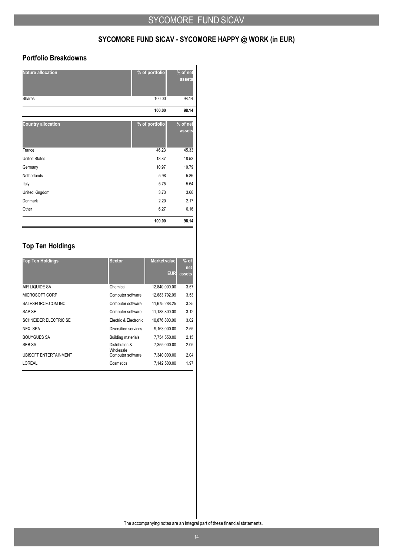## **SYCOMORE FUND SICAV - SYCOMORE HAPPY @ WORK (in EUR)**

## **Portfolio Breakdowns**

| <b>Nature allocation</b><br>Shares | % of portfolio<br>100.00 | % of net<br>assets<br>98.14 |
|------------------------------------|--------------------------|-----------------------------|
|                                    | 100.00                   | 98.14                       |
| <b>Country allocation</b>          | % of portfolio           | % of net<br>assets          |
| France                             | 46.23                    | 45.33                       |
| <b>United States</b>               | 18.87                    | 18.53                       |
| Germany                            | 10.97                    | 10.79                       |
| Netherlands                        | 5.98                     | 5.86                        |
| Italy                              | 5.75                     | 5.64                        |
| United Kingdom                     | 3.73                     | 3.66                        |
| Denmark                            | 2.20                     | 2.17                        |
| Other                              | 6.27                     | 6.16                        |
|                                    | 100.00                   | 98.14                       |

## **Top Ten Holdings**

| <b>Top Ten Holdings</b>      | <b>Sector</b>               | <b>Market value</b><br><b>EUR</b> | $%$ of<br><b>net</b><br>assets |
|------------------------------|-----------------------------|-----------------------------------|--------------------------------|
| AIR LIQUIDE SA               | Chemical                    | 12.840.000.00                     | 3.57                           |
| MICROSOFT CORP               | Computer software           | 12,683,702.09                     | 3.53                           |
| SALESFORCE COM INC           | Computer software           | 11,675,288.25                     | 3.25                           |
| SAP SE                       | Computer software           | 11,188,800.00                     | 3.12                           |
| <b>SCHNEIDER ELECTRIC SE</b> | Electric & Electronic       | 10,876,800.00                     | 3.02                           |
| <b>NEXI SPA</b>              | Diversified services        | 9.163.000.00                      | 2.55                           |
| <b>BOUYGUES SA</b>           | <b>Building materials</b>   | 7,754,550.00                      | 2.15                           |
| <b>SEB SA</b>                | Distribution &<br>Wholesale | 7.355.000.00                      | 2.05                           |
| <b>UBISOFT ENTERTAINMENT</b> | Computer software           | 7,340,000.00                      | 2.04                           |
| LOREAL                       | Cosmetics                   | 7,142,500.00                      | 1.97                           |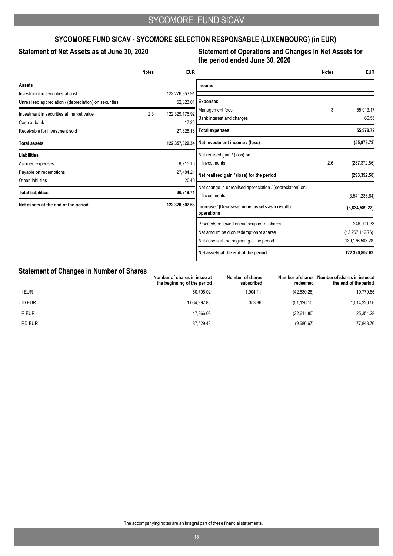## **SYCOMORE FUND SICAV - SYCOMORE SELECTION RESPONSABLE (LUXEMBOURG) (in EUR)**

## **Statement of Net Assets as at June 30, 2020 Statement of Operations and Changes in Net Assets for the period ended June 30, 2020**

|                                                        | <b>Notes</b> | <b>EUR</b>     |                                                                           | <b>Notes</b> | <b>EUR</b>      |
|--------------------------------------------------------|--------------|----------------|---------------------------------------------------------------------------|--------------|-----------------|
| <b>Assets</b>                                          |              |                | Income                                                                    |              |                 |
| Investment in securities at cost                       |              | 122,276,353.91 |                                                                           |              |                 |
| Unrealised appreciation / (depreciation) on securities |              | 52,823.01      | <b>Expenses</b>                                                           |              |                 |
| Investment in securities at market value               | 2.3          | 122.329.176.92 | Management fees                                                           | 3            | 55,913.17       |
| Cash at bank                                           |              | 17.26          | Bank interest and charges                                                 |              | 66.55           |
| Receivable for investment sold                         |              | 27,828.16      | <b>Total expenses</b>                                                     |              | 55,979.72       |
| <b>Total assets</b>                                    |              | 122,357,022.34 | Net investment income / (loss)                                            |              | (55, 979.72)    |
| <b>Liabilities</b>                                     |              |                | Net realised gain / (loss) on:                                            |              |                 |
| Accrued expenses                                       |              | 8,715.10       | Investments                                                               | 2.6          | (237, 372.86)   |
| Payable on redemptions                                 |              | 27,484.21      | Net realised gain / (loss) for the period                                 |              | (293, 352.58)   |
| Other liabilities                                      |              | 20.40          |                                                                           |              |                 |
| <b>Total liabilities</b>                               |              | 36,219.71      | Net change in unrealised appreciation / (depreciation) on:<br>Investments |              | (3,541,236.64)  |
| Net assets at the end of the period                    |              | 122,320,802.63 | Increase / (Decrease) in net assets as a result of                        |              | (3,834,589.22)  |
|                                                        |              |                | operations                                                                |              |                 |
|                                                        |              |                | Proceeds received on subscription of shares                               |              | 246,001.33      |
|                                                        |              |                | Net amount paid on redemption of shares                                   |              | (13,267,112.76) |
|                                                        |              |                | Net assets at the beginning of the period                                 |              | 139,176,503.28  |
|                                                        |              |                | Net assets at the end of the period                                       |              | 122,320,802.63  |

### **Statement of Changes in Number of Shares**

| Number of shares in issue at<br>the beginning of the period | Number of shares<br>subscribed | redeemed     | Number of shares Number of shares in issue at<br>the end of the period |
|-------------------------------------------------------------|--------------------------------|--------------|------------------------------------------------------------------------|
| 60.706.02                                                   | 1.904.11                       | (42,830.28)  | 19,779.85                                                              |
| 1.064.992.80                                                | 353.86                         | (51, 126.10) | 1,014,220.56                                                           |
| 47.966.08                                                   |                                | (22,611.80)  | 25,354.28                                                              |
| 87.529.43                                                   |                                | (9,680.67)   | 77,848.76                                                              |
|                                                             |                                |              |                                                                        |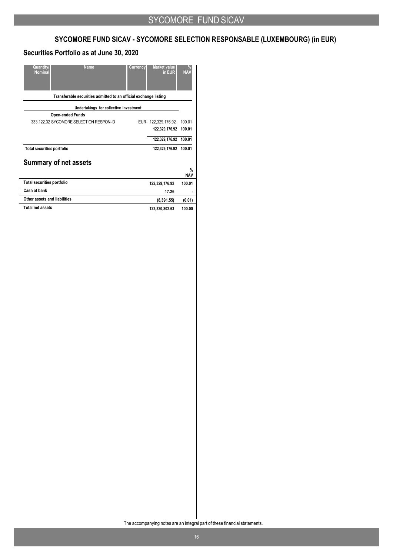## **SYCOMORE FUND SICAV - SYCOMORE SELECTION RESPONSABLE (LUXEMBOURG) (in EUR)**

## **Securities Portfolio as at June 30, 2020**

| <b>Quantity</b><br><b>Name</b><br><b>Nominal</b>                 | Currency | <b>Market value</b><br>in EUR | %<br><b>NAV</b>    |
|------------------------------------------------------------------|----------|-------------------------------|--------------------|
| Transferable securities admitted to an official exchange listing |          |                               |                    |
| Undertakings for collective investment                           |          |                               |                    |
| <b>Open-ended Funds</b>                                          |          |                               |                    |
| 333,122.32 SYCOMORE SELECTION RESPON-ID                          | EUR.     | 122,329,176.92                | 100.01             |
|                                                                  |          | 122,329,176.92                | 100.01             |
|                                                                  |          | 122,329,176.92                | 100.01             |
| <b>Total securities portfolio</b>                                |          | 122,329,176.92                | 100.01             |
| <b>Summary of net assets</b>                                     |          |                               |                    |
|                                                                  |          |                               | $\%$<br><b>NAV</b> |
| <b>Total securities portfolio</b>                                |          | 122,329,176.92                | 100.01             |
| Cash at bank                                                     |          | 17.26                         |                    |
| Other assets and liabilities                                     |          | (8,391.55)                    | (0.01)             |
| <b>Total net assets</b>                                          |          | 122,320,802.63                | 100.00             |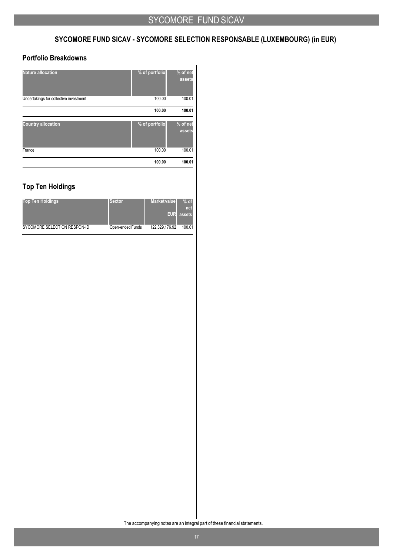## **SYCOMORE FUND SICAV - SYCOMORE SELECTION RESPONSABLE (LUXEMBOURG) (in EUR)**

## **Portfolio Breakdowns**

| <b>Nature allocation</b>               | % of portfolio | % of net<br>assets |
|----------------------------------------|----------------|--------------------|
| Undertakings for collective investment | 100.00         | 100.01             |
|                                        | 100.00         | 100.01             |
| <b>Country allocation</b>              | % of portfolio | % of net<br>assets |
| France                                 | 100.00         | 100.01             |
|                                        | 100.00         | 100.01             |

## **Top Ten Holdings**

| <b>Top Ten Holdings</b>      | <b>Sector</b>    | <b>Market value</b><br><b>EUR</b> | $%$ of<br>net<br>assets |
|------------------------------|------------------|-----------------------------------|-------------------------|
| SYCOMORE SELECTION RESPON-ID | Open-ended Funds | 122.329.176.92                    | 100.01                  |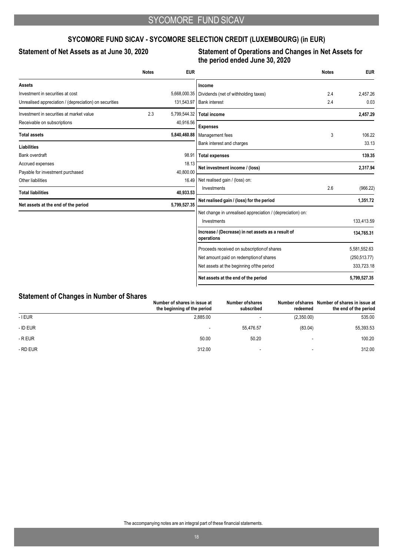## **SYCOMORE FUND SICAV - SYCOMORE SELECTION CREDIT (LUXEMBOURG) (in EUR)**

## **Statement of Net Assets as at June 30, 2020 Statement of Operations and Changes in Net Assets for the period ended June 30, 2020**

|                                                        | <b>Notes</b> | <b>EUR</b>   |                                                                  | <b>Notes</b> | <b>EUR</b>    |
|--------------------------------------------------------|--------------|--------------|------------------------------------------------------------------|--------------|---------------|
| <b>Assets</b>                                          |              |              | Income                                                           |              |               |
| Investment in securities at cost                       |              | 5,668,000.35 | Dividends (net of withholding taxes)                             | 2.4          | 2.457.26      |
| Unrealised appreciation / (depreciation) on securities |              | 131,543.97   | <b>Bank interest</b>                                             | 2.4          | 0.03          |
| Investment in securities at market value               | 2.3          | 5,799,544.32 | <b>Total income</b>                                              |              | 2,457.29      |
| Receivable on subscriptions                            |              | 40,916.56    | <b>Expenses</b>                                                  |              |               |
| <b>Total assets</b>                                    |              | 5,840,460.88 | Management fees                                                  | 3            | 106.22        |
| <b>Liabilities</b>                                     |              |              | Bank interest and charges                                        |              | 33.13         |
| Bank overdraft                                         |              | 98.91        | <b>Total expenses</b>                                            |              | 139.35        |
| Accrued expenses                                       |              | 18.13        | Net investment income / (loss)                                   |              | 2,317.94      |
| Payable for investment purchased                       |              | 40,800.00    |                                                                  |              |               |
| Other liabilities                                      |              | 16.49        | Net realised gain / (loss) on:                                   |              |               |
| <b>Total liabilities</b>                               |              | 40,933.53    | Investments                                                      | 2.6          | (966.22)      |
| Net assets at the end of the period                    |              | 5,799,527.35 | Net realised gain / (loss) for the period                        |              | 1,351.72      |
|                                                        |              |              | Net change in unrealised appreciation / (depreciation) on:       |              |               |
|                                                        |              |              | Investments                                                      |              | 133,413.59    |
|                                                        |              |              | Increase / (Decrease) in net assets as a result of<br>operations |              | 134,765.31    |
|                                                        |              |              | Proceeds received on subscription of shares                      |              | 5,581,552.63  |
|                                                        |              |              | Net amount paid on redemption of shares                          |              | (250, 513.77) |
|                                                        |              |              | Net assets at the beginning of the period                        |              | 333,723.18    |
|                                                        |              |              | Net assets at the end of the period                              |              | 5,799,527.35  |

## **Statement of Changes in Number of Shares**

|          | Number of shares in issue at<br>the beginning of the period | Number of shares<br>subscribed | redeemed       | Number of shares Number of shares in issue at<br>the end of the period |
|----------|-------------------------------------------------------------|--------------------------------|----------------|------------------------------------------------------------------------|
| - I EUR  | 2,885.00                                                    | $\sim$                         | (2,350.00)     | 535.00                                                                 |
| - ID EUR |                                                             | 55.476.57                      | (83.04)        | 55,393.53                                                              |
| - R EUR  | 50.00                                                       | 50.20                          | $\overline{a}$ | 100.20                                                                 |
| - RD EUR | 312.00                                                      | $\overline{\phantom{a}}$       |                | 312.00                                                                 |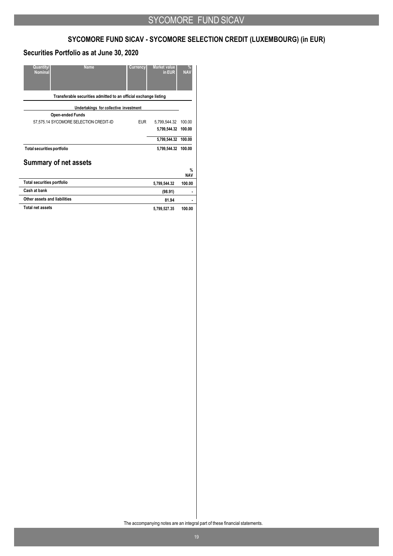# **SYCOMORE FUND SICAV - SYCOMORE SELECTION CREDIT (LUXEMBOURG) (in EUR)**

## **Securities Portfolio as at June 30, 2020**

| <b>Name</b><br><b>Quantity</b><br><b>Nominal</b>                 | Currency   | <b>Market value</b><br>in EUR | %<br><b>NAV</b>    |
|------------------------------------------------------------------|------------|-------------------------------|--------------------|
| Transferable securities admitted to an official exchange listing |            |                               |                    |
| Undertakings for collective investment                           |            |                               |                    |
| <b>Open-ended Funds</b>                                          |            |                               |                    |
| 57,575.14 SYCOMORE SELECTION CREDIT-ID                           | <b>EUR</b> | 5,799,544.32                  | 100.00             |
|                                                                  |            | 5,799,544.32                  | 100.00             |
|                                                                  |            | 5,799,544.32 100.00           |                    |
| <b>Total securities portfolio</b>                                |            | 5,799,544.32                  | 100.00             |
| <b>Summary of net assets</b>                                     |            |                               |                    |
|                                                                  |            |                               | $\%$<br><b>NAV</b> |
| <b>Total securities portfolio</b>                                |            | 5,799,544.32                  | 100.00             |
| Cash at bank                                                     |            | (98.91)                       |                    |
| Other assets and liabilities                                     |            | 81.94                         | ٠                  |
| <b>Total net assets</b>                                          |            | 5,799,527.35                  | 100.00             |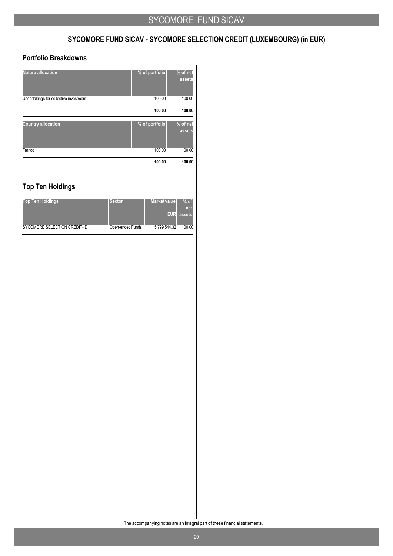# **SYCOMORE FUND SICAV - SYCOMORE SELECTION CREDIT (LUXEMBOURG) (in EUR)**

## **Portfolio Breakdowns**

| <b>Nature allocation</b>               | % of portfolio | % of net<br>assets |
|----------------------------------------|----------------|--------------------|
| Undertakings for collective investment | 100.00         | 100.00             |
|                                        | 100.00         | 100.00             |
| <b>Country allocation</b>              | % of portfolio | % of net<br>assets |
| France                                 | 100.00         | 100.00             |
|                                        | 100.00         | 100.00             |

## **Top Ten Holdings**

| <b>Top Ten Holdings</b>      | <b>Sector</b>    | <b>Market value</b><br><b>EUR</b> | $%$ of<br>net<br>assets |
|------------------------------|------------------|-----------------------------------|-------------------------|
| SYCOMORE SELECTION CREDIT-ID | Open-ended Funds | 5.799.544.32                      | 100.00                  |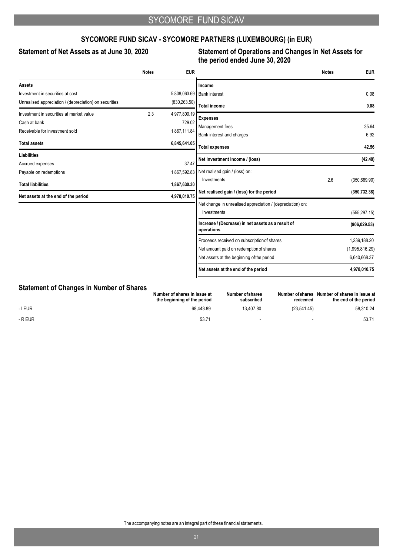## **SYCOMORE FUND SICAV - SYCOMORE PARTNERS (LUXEMBOURG) (in EUR)**

## **Statement of Net Assets as at June 30, 2020 Statement of Operations and Changes in Net Assets for the period ended June 30, 2020**

|                                                        | <b>Notes</b> | <b>EUR</b>    |                                                                  | <b>Notes</b> | <b>EUR</b>     |
|--------------------------------------------------------|--------------|---------------|------------------------------------------------------------------|--------------|----------------|
| <b>Assets</b>                                          |              |               | Income                                                           |              |                |
| Investment in securities at cost                       |              | 5,808,063.69  | <b>Bank interest</b>                                             |              | 0.08           |
| Unrealised appreciation / (depreciation) on securities |              | (830, 263.50) | <b>Total income</b>                                              |              | 0.08           |
| Investment in securities at market value               | 2.3          | 4,977,800.19  |                                                                  |              |                |
| Cash at bank                                           |              | 729.02        | <b>Expenses</b>                                                  |              |                |
| Receivable for investment sold                         |              | 1,867,111.84  | Management fees                                                  |              | 35.64          |
| <b>Total assets</b>                                    |              | 6,845,641.05  | Bank interest and charges                                        |              | 6.92           |
|                                                        |              |               | <b>Total expenses</b>                                            |              | 42.56          |
| <b>Liabilities</b>                                     |              |               | Net investment income / (loss)                                   |              | (42.48)        |
| Accrued expenses                                       |              | 37.47         | Net realised gain / (loss) on:                                   |              |                |
| Payable on redemptions                                 |              | 1,867,592.83  | Investments                                                      | 2.6          | (350, 689.90)  |
| <b>Total liabilities</b>                               |              | 1,867,630.30  |                                                                  |              |                |
| Net assets at the end of the period                    |              | 4,978,010.75  | Net realised gain / (loss) for the period                        |              | (350, 732.38)  |
|                                                        |              |               | Net change in unrealised appreciation / (depreciation) on:       |              |                |
|                                                        |              |               | Investments                                                      |              | (555, 297.15)  |
|                                                        |              |               | Increase / (Decrease) in net assets as a result of<br>operations |              | (906, 029.53)  |
|                                                        |              |               | Proceeds received on subscription of shares                      |              | 1,239,188.20   |
|                                                        |              |               | Net amount paid on redemption of shares                          |              | (1,995,816.29) |
|                                                        |              |               | Net assets at the beginning of the period                        |              | 6,640,668.37   |
|                                                        |              |               | Net assets at the end of the period                              |              | 4,978,010.75   |

### **Statement of Changes in Number of Shares**

|         | Number of shares in issue at<br>the beginning of the period | Number of shares<br>subscribed | redeemed                 | Number of shares Number of shares in issue at<br>the end of the period |
|---------|-------------------------------------------------------------|--------------------------------|--------------------------|------------------------------------------------------------------------|
| - I EUR | 68.443.89                                                   | 13.407.80                      | (23.541.45)              | 58.310.24                                                              |
| - R EUR | 53.7 <sup>4</sup>                                           | $\overline{\phantom{a}}$       | $\overline{\phantom{0}}$ | 53.71                                                                  |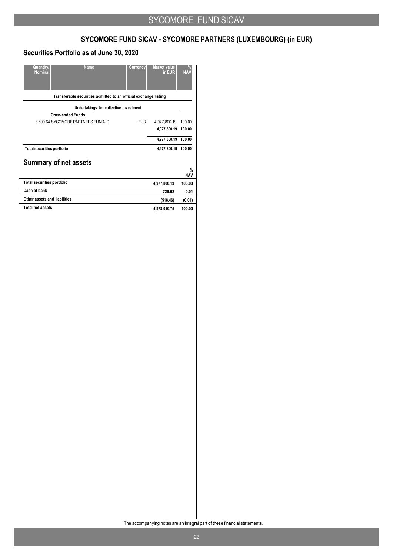# **SYCOMORE FUND SICAV - SYCOMORE PARTNERS (LUXEMBOURG) (in EUR)**

## **Securities Portfolio as at June 30, 2020**

| <b>Name</b><br><b>Quantity</b><br><b>Nominal</b>                 | Currency   | <b>Market value</b><br>in EUR | $\frac{9}{6}$<br><b>NAV</b> |
|------------------------------------------------------------------|------------|-------------------------------|-----------------------------|
| Transferable securities admitted to an official exchange listing |            |                               |                             |
| Undertakings for collective investment                           |            |                               |                             |
| <b>Open-ended Funds</b>                                          |            |                               |                             |
| 3,609.64 SYCOMORE PARTNERS FUND-ID                               | <b>EUR</b> | 4,977,800.19                  | 100.00                      |
|                                                                  |            | 4,977,800.19                  | 100.00                      |
|                                                                  |            | 4,977,800.19 100.00           |                             |
| <b>Total securities portfolio</b>                                |            | 4,977,800.19                  | 100.00                      |
| <b>Summary of net assets</b>                                     |            |                               |                             |
|                                                                  |            |                               | $\%$<br><b>NAV</b>          |
| <b>Total securities portfolio</b>                                |            | 4,977,800.19                  | 100.00                      |
| Cash at bank                                                     |            | 729.02                        | 0.01                        |
| Other assets and liabilities                                     |            | (518.46)                      | (0.01)                      |
| <b>Total net assets</b>                                          |            | 4,978,010.75                  | 100.00                      |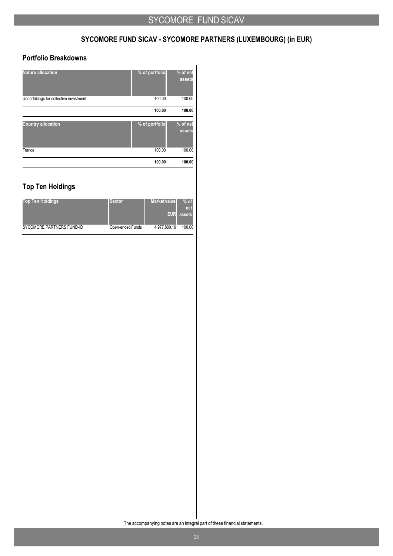# **SYCOMORE FUND SICAV - SYCOMORE PARTNERS (LUXEMBOURG) (in EUR)**

## **Portfolio Breakdowns**

| <b>Nature allocation</b>               | % of portfolio | % of net<br>assets |
|----------------------------------------|----------------|--------------------|
| Undertakings for collective investment | 100.00         | 100.00             |
|                                        | 100.00         | 100.00             |
| <b>Country allocation</b>              | % of portfolio | % of net<br>assets |
| France                                 | 100.00         | 100.00             |
|                                        | 100.00         | 100.00             |

## **Top Ten Holdings**

| <b>Top Ten Holdings</b>   | <b>Sector</b>    | <b>Market value</b><br><b>EUR</b> | $%$ of<br>net<br>assets |
|---------------------------|------------------|-----------------------------------|-------------------------|
| SYCOMORE PARTNERS FUND-ID | Open-ended Funds | 4,977,800.19                      | 100.00                  |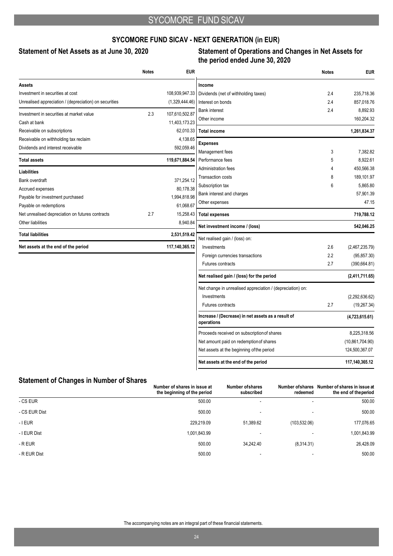## **SYCOMORE FUND SICAV - NEXT GENERATION (in EUR)**

## **Statement of Net Assets as at June 30, 2020 Statement of Operations and Changes in Net Assets for the period ended June 30, 2020**

|                                                        | <b>Notes</b> | <b>EUR</b>     |                                                                  | <b>Notes</b> | <b>EUR</b>             |
|--------------------------------------------------------|--------------|----------------|------------------------------------------------------------------|--------------|------------------------|
| Assets                                                 |              |                | Income                                                           |              |                        |
| Investment in securities at cost                       |              | 108,939,947.33 | Dividends (net of withholding taxes)                             | 2.4          | 235,718.36             |
| Unrealised appreciation / (depreciation) on securities |              | (1,329,444.46) | Interest on bonds                                                | 2.4          | 857,018.76             |
| Investment in securities at market value               | 2.3          | 107,610,502.87 | <b>Bank interest</b>                                             | 2.4          | 8,892.93               |
| Cash at bank                                           |              | 11,403,173.23  | Other income                                                     |              | 160,204.32             |
| Receivable on subscriptions                            |              | 62,010.33      | <b>Total income</b>                                              |              | 1,261,834.37           |
| Receivable on withholding tax reclaim                  |              | 4,138.65       |                                                                  |              |                        |
| Dividends and interest receivable                      |              | 592,059.46     | <b>Expenses</b>                                                  |              |                        |
|                                                        |              |                | Management fees                                                  | 3            | 7,382.82               |
| <b>Total assets</b>                                    |              | 119,671,884.54 | Performance fees<br>Administration fees                          | 5<br>4       | 8,922.61<br>450.566.38 |
| <b>Liabilities</b>                                     |              |                |                                                                  | 8            | 189,101.97             |
| Bank overdraft                                         |              | 371,254.12     | <b>Transaction costs</b>                                         | 6            | 5,865.80               |
| Accrued expenses                                       |              | 80,178.38      | Subscription tax<br>Bank interest and charges                    |              | 57,901.39              |
| Payable for investment purchased                       |              | 1,994,818.98   | Other expenses                                                   |              | 47.15                  |
| Payable on redemptions                                 |              | 61,068.67      |                                                                  |              |                        |
| Net unrealised depreciation on futures contracts       | 2.7          | 15,258.43      | <b>Total expenses</b>                                            |              | 719,788.12             |
| Other liabilities                                      |              | 8,940.84       | Net investment income / (loss)                                   |              | 542,046.25             |
| <b>Total liabilities</b>                               |              | 2,531,519.42   | Net realised gain / (loss) on:                                   |              |                        |
| Net assets at the end of the period                    |              | 117,140,365.12 | Investments                                                      | 2.6          | (2,467,235.79)         |
|                                                        |              |                | Foreign currencies transactions                                  | 2.2          | (95, 857.30)           |
|                                                        |              |                | <b>Futures contracts</b>                                         | 2.7          | (390, 664.81)          |
|                                                        |              |                | Net realised gain / (loss) for the period                        |              | (2,411,711.65)         |
|                                                        |              |                | Net change in unrealised appreciation / (depreciation) on:       |              |                        |
|                                                        |              |                | Investments                                                      |              | (2,292,636.62)         |
|                                                        |              |                | Futures contracts                                                | 2.7          | (19, 267.34)           |
|                                                        |              |                | Increase / (Decrease) in net assets as a result of<br>operations |              | (4,723,615.61)         |
|                                                        |              |                | Proceeds received on subscription of shares                      |              | 8,225,318.56           |
|                                                        |              |                | Net amount paid on redemption of shares                          |              | (10,861,704.90)        |
|                                                        |              |                | Net assets at the beginning of the period                        |              | 124,500,367.07         |
|                                                        |              |                | Net assets at the end of the period                              |              | 117,140,365.12         |

## **Statement of Changes in Number of Shares**

|               | Number of shares in issue at<br>the beginning of the period | Number of shares<br>subscribed | redeemed                 | Number of shares Number of shares in issue at<br>the end of the period |
|---------------|-------------------------------------------------------------|--------------------------------|--------------------------|------------------------------------------------------------------------|
| - CS EUR      | 500.00                                                      | $\overline{\phantom{0}}$       | $\overline{\phantom{a}}$ | 500.00                                                                 |
| - CS EUR Dist | 500.00                                                      |                                |                          | 500.00                                                                 |
| $-$ I EUR     | 229,219.09                                                  | 51,389.62                      | (103, 532.06)            | 177,076.65                                                             |
| - I EUR Dist  | 1,001,843.99                                                |                                |                          | 1,001,843.99                                                           |
| - R EUR       | 500.00                                                      | 34.242.40                      | (8,314.31)               | 26,428.09                                                              |
| - R EUR Dist  | 500.00                                                      |                                |                          | 500.00                                                                 |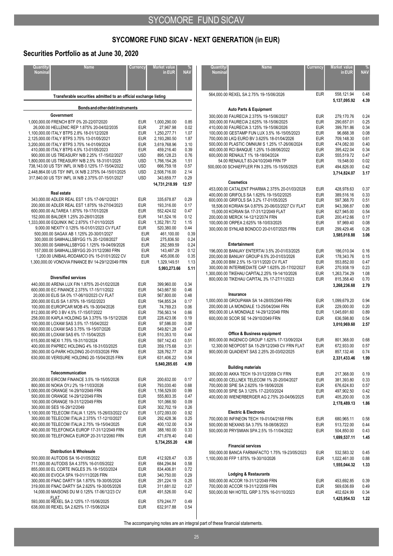## **Securities Portfolio as at June 30, 2020**

| <b>Quantity/</b><br><b>Nominal</b> | <b>Name</b>                                                                                       | <b>Currency</b>          | Market value<br>in EUR       | <b>NAV</b>    |
|------------------------------------|---------------------------------------------------------------------------------------------------|--------------------------|------------------------------|---------------|
|                                    |                                                                                                   |                          |                              |               |
|                                    | Transferable securities admitted to an official exchange listing                                  |                          |                              |               |
|                                    | Bonds and other debt instruments                                                                  |                          |                              |               |
|                                    | Government<br>1,000,000.00 FRENCH BTF 0% 20-22/07/2020                                            | <b>EUR</b>               | 1,000,290.00                 | 0.85          |
|                                    | 26,000.00 HELLENIC REP 1.875% 20-04/02/2035                                                       | <b>EUR</b>               | 27,967.98                    | 0.02          |
|                                    | 1,100,000.00 ITALY BTPS 2.8% 18-01/12/2028                                                        | <b>EUR</b>               | 1,250,277.71                 | 1.07          |
|                                    | 2,125,000.00 ITALY BTPS 3.75% 13-01/05/2021<br>3,200,000.00 ITALY BTPS 3.75% 14-01/09/2024        | <b>EUR</b><br><b>EUR</b> | 2,193,280.50<br>3,619,768.96 | 1.87<br>3.10  |
|                                    | 410.000.00 ITALY BTPS 4.5% 13-01/05/2023                                                          | <b>EUR</b>               | 459,216.40                   | 0.39          |
|                                    | 900,000.00 US TREASURY N/B 2.25% 17-15/02/2027<br>1,800,000.00 US TREASURY N/B 2.5% 18-31/01/2025 | <b>USD</b><br><b>USD</b> | 895,128.23<br>1,766,154.26   | 0.76<br>1.51  |
|                                    | 738,143.00 US TSY INFL IX N/B 0.125% 17-15/04/2022                                                | <b>USD</b>               | 666,759.18                   | 0.57          |
|                                    | 2,448,864.00 US TSY INFL IX N/B 2.375% 04-15/01/2025                                              | <b>USD</b>               | 2,508,716.00                 | 2.14          |
|                                    | 317,840.00 US TSY INFL IX N/B 2.375% 07-15/01/2027                                                | <b>USD</b>               | 343,659.77<br>14,731,218.99  | 0.29<br>12.57 |
|                                    | <b>Real estate</b>                                                                                |                          |                              |               |
|                                    | 343,000.00 ADLER REAL EST 1.5% 17-06/12/2021                                                      | <b>EUR</b>               | 335,678.87                   | 0.29          |
|                                    | 200.000.00 ADLER REAL EST 1.875% 18-27/04/2023<br>600,000.00 ALTAREA 1.875% 19-17/01/2028         | <b>EUR</b><br><b>EUR</b> | 193,316.00<br>552,424.02     | 0.17<br>0.47  |
|                                    | 152,000.00 BALDER 1.25% 20-28/01/2028                                                             | <b>EUR</b>               | 141,524.16                   | 0.12          |
|                                    | 1,333,000.00 EQUINIX INC 2.875% 17-01/10/2025                                                     | <b>EUR</b>               | 1,352,781.72                 | 1.15          |
|                                    | 9,000.00 NEXITY 0.125% 16-01/01/2023 CV FLAT<br>500,000.00 SAGAX AB 1.125% 20-30/01/2027          | <b>EUR</b><br><b>EUR</b> | 520,380.00<br>461,100.00     | 0.44<br>0.39  |
|                                    | 300,000.00 SAMHALLSBYGG 1% 20-12/08/2027                                                          | EUR                      | 275,836.50                   | 0.24          |
|                                    | 300,000.00 SAMHALLSBYGG 1.125% 19-04/09/2026                                                      | <b>EUR</b>               | 282.589.59                   | 0.24          |
|                                    | 157,000.00 SAMHALLSBYGG 20-31/12/2060 FRN<br>1,200.00 UNIBAIL-RODAMCO 0% 15-01/01/2022 CV         | <b>EUR</b><br><b>EUR</b> | 143.487.29<br>405,006.00     | 0.12<br>0.35  |
|                                    | 1,300,000.00 VONOVIA FINANCE BV 14-29/12/2049 FRN                                                 | <b>EUR</b>               | 1,329,149.51                 | 1.13          |
|                                    |                                                                                                   |                          | 5,993,273.66                 | 5.11          |
|                                    | <b>Diversified services</b>                                                                       |                          |                              |               |
|                                    | 440,000.00 ARENA LUX FIN 1.875% 20-01/02/2028                                                     | <b>EUR</b>               | 399,960.00                   | 0.34          |
|                                    | 600,000.00 EC FINANCE 2.375% 17-15/11/2022<br>20,000.00 ELIS SA 0% 17-06/10/2023 CV FLAT          | <b>EUR</b><br><b>EUR</b> | 543,667.50<br>567,800.00     | 0.46<br>0.48  |
|                                    | 200,000.00 ELIS SA 1.875% 18-15/02/2023                                                           | <b>EUR</b>               | 194,855.24                   | 0.17          |
|                                    | 100,000.00 EUROPCAR MOB 4% 19-30/04/2026<br>812,000.00 IPD 3 BV 4.5% 17-15/07/2022                | <b>EUR</b><br><b>EUR</b> | 74,769.23<br>756,563.14      | 0.06<br>0.66  |
|                                    | 258,000.00 KAPLA HOLDING SA 3.375% 19-15/12/2026                                                  | <b>EUR</b>               | 228,423.06                   | 0.19          |
|                                    | 100,000.00 LOXAM SAS 3.5% 17-15/04/2022                                                           | <b>EUR</b>               | 97,586.00                    | 0.08          |
|                                    | 600,000.00 LOXAM SAS 3.75% 19-15/07/2026<br>600,000.00 LOXAM SAS 6% 17-15/04/2025                 | <b>EUR</b><br><b>EUR</b> | 549,821.28<br>510,353.10     | 0.47<br>0.44  |
|                                    | 615,000.00 NEXI 1.75% 19-31/10/2024                                                               | <b>EUR</b>               | 597,142.43                   | 0.51          |
|                                    | 400,000.00 PAPREC HOLDING 4% 18-31/03/2025<br>350,000.00 Q-PARK HOLDING 20-01/03/2026 FRN         | <b>EUR</b><br><b>EUR</b> | 359,175.68<br>328,762.77     | 0.31<br>0.28  |
|                                    | 630,000.00 VERISURE HOLDING 20-15/04/2025 FRN                                                     | <b>EUR</b>               | 631,406.22                   | 0.54          |
|                                    |                                                                                                   |                          | 5,840,285.65                 | 4.99          |
|                                    | Telecommunication                                                                                 |                          |                              |               |
|                                    | 200,000.00 EIRCOM FINANCE 3.5% 19-15/05/2026                                                      | <b>EUR</b><br><b>EUR</b> | 200,632.00<br>793,030.40     | 0.17<br>0.68  |
|                                    | 800,000.00 NOKIA OYJ 2% 19-11/03/2026<br>1,000,000.00 ORANGE 14-29/10/2049 FRN                    | <b>EUR</b>               | 1,156,529.00                 | 0.99          |
|                                    | 500,000.00 ORANGE 14-29/12/2049 FRN                                                               | <b>EUR</b>               | 555,803.35                   | 0.47          |
|                                    | 100,000.00 ORANGE 19-31/12/2049 FRN<br>300,000.00 SES 16-29/12/2049                               | <b>EUR</b><br><b>EUR</b> | 101,066.50<br>302.702.19     | 0.09<br>0.26  |
|                                    | 1,100,000.00 TELECOM ITALIA 1.125% 15-26/03/2022 CV                                               | <b>EUR</b>               | 1,072,093.00                 | 0.92          |
|                                    | 300,000.00 TELECOM ITALIA 2.375% 17-12/10/2027<br>400,000.00 TELECOM ITALIA 2.75% 19-15/04/2025   | <b>EUR</b><br><b>EUR</b> | 292,428.36<br>400,132.00     | 0.25<br>0.34  |
|                                    | 400,000.00 TELEFONICA EUROP 17-31/12/2049 FRN                                                     | <b>EUR</b>               | 388,160.00                   | 0.33          |
|                                    | 500,000.00 TELEFONICA EUROP 20-31/12/2060 FRN                                                     | <b>EUR</b>               | 471,678.40                   | 0.40          |
|                                    |                                                                                                   |                          | 5,734,255.20                 | 4.90          |
|                                    | <b>Distribution &amp; Wholesale</b>                                                               |                          |                              |               |
|                                    | 500,000.00 AUTODIS SA 16-01/05/2022<br>711,000.00 AUTODIS SA 4.375% 16-01/05/2022                 | <b>EUR</b><br><b>EUR</b> | 412,928.47<br>684,294.84     | 0.35<br>0.58  |
|                                    | 855,000.00 EL CORTE INGLES 3% 18-15/03/2024                                                       | <b>EUR</b>               | 834,406.81                   | 0.72          |
|                                    | 400,000.00 EVOCA SPA 19-01/11/2026 FRN<br>300,000.00 FNAC DARTY SA 1.875% 19-30/05/2024           | <b>EUR</b><br><b>EUR</b> | 340,750.00<br>291,224.19     | 0.29<br>0.25  |
|                                    | 319,000.00 FNAC DARTY SA 2.625% 19-30/05/2026                                                     | <b>EUR</b>               | 311,681.02                   | 0.27          |
|                                    | 14,000.00 MAISONS DU M 0.125% 17-06/12/23 CV<br>FLAT                                              | <b>EUR</b>               | 491,526.00                   | 0.42          |
|                                    | 593,000.00 REXEL SA 2.125% 17-15/06/2025                                                          | <b>EUR</b>               | 579,244.77                   | 0.49          |
|                                    | 638,000.00 REXEL SA 2.625% 17-15/06/2024                                                          | <b>EUR</b>               | 632,917.88                   | 0.54          |
|                                    |                                                                                                   |                          |                              |               |

| Quantity/      | <b>Name</b>                                      | Currency   | Market value |            |
|----------------|--------------------------------------------------|------------|--------------|------------|
| <b>Nominal</b> |                                                  |            | in EUR       | <b>NAV</b> |
|                |                                                  |            |              |            |
|                |                                                  |            |              |            |
|                |                                                  |            |              |            |
|                | 564,000.00 REXEL SA 2.75% 19-15/06/2026          | <b>EUR</b> | 558,121.94   | 0.48       |
|                |                                                  |            | 5,137,095.92 | 4.39       |
|                | <b>Auto Parts &amp; Equipment</b>                |            |              |            |
|                | 300,000.00 FAURECIA 2.375% 19-15/06/2027         | <b>EUR</b> | 279,170.76   | 0.24       |
|                | 300,000.00 FAURECIA 2.625% 18-15/06/2025         | <b>EUR</b> | 290,657.01   | 0.25       |
|                | 410,000.00 FAURECIA 3.125% 19-15/06/2026         | EUR        | 399,781.86   | 0.34       |
|                | 100,000.00 GESTAMP FUN LUX 3.5% 16-15/05/2023    | <b>EUR</b> | 96,668.38    | 0.08       |
|                | 700,000.00 LKQ EURO BV 3.625% 18-01/04/2026      | <b>EUR</b> | 709,148.30   | 0.61       |
|                | 500,000.00 PLASTIC OMNIUM S 1.25% 17-26/06/2024  | <b>EUR</b> | 474,082.00   | 0.40       |
|                | 400,000.00 RCI BANQUE 1.25% 15-08/06/2022        | <b>EUR</b> | 395,422.04   | 0.34       |
|                | 600.000.00 RENAULT 1% 18-18/04/2024              | EUR        | 555.519.72   | 0.47       |
|                | 54.00 RENAULT 83-24/10/2049 FRN TP               | EUR        | 19,548.00    | 0.02       |
|                | 500,000.00 SCHAEFFLER FIN 3.25% 15-15/05/2025    | <b>EUR</b> | 494,826.00   | 0.42       |
|                |                                                  |            | 3,714,824.07 | 3.17       |
|                | <b>Cosmetics</b>                                 |            |              |            |
|                | 453,000.00 CATALENT PHARMA 2.375% 20-01/03/2028  | <b>EUR</b> | 428,978.63   | 0.37       |
|                | 400,000.00 GRIFOLS SA 1.625% 19-15/02/2025       | <b>EUR</b> | 389,516.16   | 0.33       |
|                | 600,000.00 GRIFOLS SA 3.2% 17-01/05/2025         | <b>EUR</b> | 597,368.70   | 0.51       |
|                | 18,506.00 KORIAN SA 0.875% 20-06/03/2027 CV FLAT | <b>EUR</b> | 943.398.87   | 0.80       |
|                | 15,000.00 KORIAN SA 17-31/12/2049 FLAT           | EUR        | 627,945.00   | 0.54       |
|                | 200,000.00 MERCK 14-12/12/2074 FRN               | EUR        | 200,412.66   | 0.17       |
|                | 100,000.00 ORPEA 2.625% 18-10/03/2025            | EUR        | 97,969.40    | 0.08       |
|                | 300.000.00 SYNLAB BONDCO 20-01/07/2025 FRN       | <b>EUR</b> | 299,429.46   | 0.26       |
|                |                                                  |            | 3,585,018.88 | 3.06       |
|                |                                                  |            |              |            |
|                | Entertainment                                    |            |              |            |
|                | 196,000.00 BANIJAY ENTERTAI 3.5% 20-01/03/2025   | <b>EUR</b> | 186,010.04   | 0.16       |
|                | 200,000.00 BANIJAY GROUP 6.5% 20-01/03/2026      | <b>EUR</b> | 178,343.76   | 0.15       |
|                | 26,000.00 BIM 2.5% 15-13/11/2020 CV FLAT         | EUR        | 553,852.00   | 0.47       |
|                | 300,000.00 INTERMEDIATE CAP 1.625% 20-17/02/2027 | <b>EUR</b> | 270,938.19   | 0.23       |
|                | 1,300,000.00 TIKEHAU CAPITAL2.25% 19-14/10/2026  | EUR        | 1,263,734.29 | 1.08       |
|                | 800,000.00 TIKEHAU CAPITAL 3% 17-27/11/2023      | <b>EUR</b> | 815,358.40   | 0.70       |
|                |                                                  |            | 3,268,236.68 | 2.79       |
|                | Insurance                                        |            |              |            |
|                | 1,000,000.00 GROUPAMA SA 14-28/05/2049 FRN       | <b>EUR</b> | 1,099,679.20 | 0.94       |
|                | 200,000.00 LA MONDIALE 13-25/04/2044 FRN         | EUR        | 229,000.00   | 0.20       |
|                | 950,000.00 LA MONDIALE 14-29/12/2049 FRN         | <b>EUR</b> | 1,045,691.60 | 0.89       |
|                | 600,000.00 SCOR SE 14-29/10/2049 FRN             | <b>EUR</b> | 636,598.80   | 0.54       |
|                |                                                  |            | 3,010,969.60 | 2.57       |
|                |                                                  |            |              |            |
|                | <b>Office &amp; Business equipment</b>           |            |              |            |
|                | 800,000.00 INGENICO GROUP 1.625% 17-13/09/2024   | <b>EUR</b> | 801,368.00   | 0.68       |
|                | 12,300.00 NEOPOST SA 15-29/12/2049 CV FRN FLAT   | <b>EUR</b> | 672,933.00   | 0.57       |
|                | 900,000.00 QUADIENT SAS 2.25% 20-03/02/2025      | <b>EUR</b> | 857,132.46   | 0.74       |
|                |                                                  |            | 2,331,433.46 | 1.99       |
|                | <b>Building materials</b>                        |            |              |            |
|                | 300,000.00 AKKA TECH 19-31/12/2059 CV FRN        | EUR        | 217,368.00   | 0.19       |
|                | 400,000.00 CELLNEX TELECOM 1% 20-20/04/2027      | EUR        | 381,393.80   | 0.33       |
|                | 700,000.00 SPIE SA 2.625% 19-18/06/2026          | EUR        | 676,624.83   | 0.57       |
|                | 500,000.00 SPIE SA 3.125% 17-22/03/2024          | EUR        | 497,902.50   | 0.42       |
|                | 400,000.00 WIENERBERGER AG 2.75% 20-04/06/2025   | EUR        | 405,200.00   | 0.35       |
|                |                                                  |            | 2,178,489.13 | 1.86       |
|                |                                                  |            |              |            |
|                | <b>Electric &amp; Electronic</b>                 |            |              |            |
|                | 700,000.00 INFINEON TECH 19-01/04/2168 FRN       | EUR        | 680,965.11   | 0.58       |
|                | 500,000.00 NEXANS SA 3.75% 18-08/08/2023         | EUR        | 513,722.00   | 0.44       |
|                | 500,000.00 PRYSMIAN SPA 2.5% 15-11/04/2022       | <b>EUR</b> | 504,850.00   | 0.43       |
|                |                                                  |            | 1,699,537.11 | 1.45       |
|                | <b>Financial services</b>                        |            |              |            |
|                | 550,000.00 BANCA FARMAFACTO 1.75% 19-23/05/2023  | EUR        | 532,583.32   | 0.45       |
|                | 1,100,000.00 FFP 1.875% 19-30/10/2026            | EUR        | 1,022,461.00 | 0.88       |
|                |                                                  |            | 1,555,044.32 | 1.33       |
|                |                                                  |            |              |            |
|                | <b>Lodging &amp; Restaurants</b>                 |            |              |            |
|                | 500,000.00 ACCOR 19-31/12/2049 FRN               | EUR        | 453,692.85   | 0.39       |
|                | 700,000.00 ACCOR 19-31/12/2059 FRN               | EUR        | 569,636.69   | 0.49       |
|                | 500,000.00 NH HOTEL GRP 3.75% 16-01/10/2023      | EUR        | 402,624.99   | 0.34       |
|                |                                                  |            | 1,425,954.53 | 1.22       |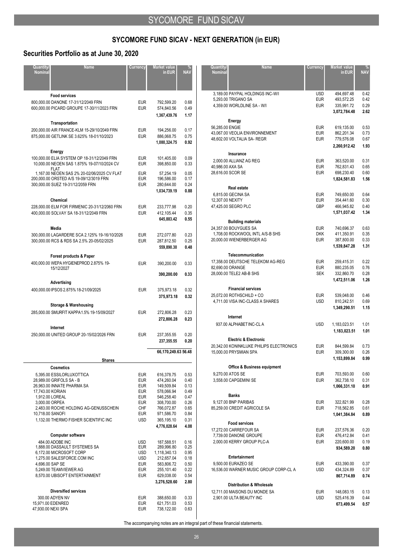## **Securities Portfolio as at June 30, 2020**

| <b>Quantity</b><br><b>Nominal</b> | <b>Name</b>                                                                               | Currency                 | Market value<br>in EUR     | NΑ           |
|-----------------------------------|-------------------------------------------------------------------------------------------|--------------------------|----------------------------|--------------|
|                                   |                                                                                           |                          |                            |              |
|                                   | <b>Food services</b>                                                                      |                          |                            |              |
|                                   | 800,000.00 DANONE 17-31/12/2049 FRN                                                       | <b>EUR</b>               | 792.599.20                 | 0.68         |
|                                   | 600,000.00 PICARD GROUPE 17-30/11/2023 FRN                                                | <b>EUR</b>               | 574,840.56                 | 0.49         |
|                                   |                                                                                           |                          | 1,367,439.76               | 1.17         |
|                                   | Transportation                                                                            |                          |                            |              |
|                                   | 200,000.00 AIR FRANCE-KLM 15-29/10/2049 FRN<br>875,000.00 GETLINK SE 3.625% 18-01/10/2023 | <b>EUR</b><br><b>EUR</b> | 194,256.00<br>886,068.75   | 0.17<br>0.75 |
|                                   |                                                                                           |                          | 1,080,324.75               | 0.92         |
|                                   | Energy                                                                                    |                          |                            |              |
|                                   | 100,000.00 ELIA SYSTEM OP 18-31/12/2049 FRN                                               | <b>EUR</b>               | 101,405.00                 | 0.09         |
|                                   | 10,000.00 NEOEN SAS 1.875% 19-07/10/2024 CV                                               | EUR                      | 398,850.00                 | 0.33         |
|                                   | <b>FLAT</b><br>1,167.00 NEOEN SAS 2% 20-02/06/2025 CV FLAT                                | <b>EUR</b>               | 57,254.19                  | 0.05         |
|                                   | 200,000.00 ORSTED A/S 19-09/12/3019 FRN                                                   | <b>EUR</b>               | 196,586.00                 | 0.17         |
|                                   | 300,000.00 SUEZ 19-31/12/2059 FRN                                                         | <b>EUR</b>               | 280,644.00<br>1,034,739.19 | 0.24<br>0.88 |
|                                   |                                                                                           |                          |                            |              |
|                                   | Chemical<br>228,000.00 ELM FOR FIRMENIC 20-31/12/2060 FRN                                 | EUR                      | 233,777.98                 | 0.20         |
|                                   | 400,000.00 SOLVAY SA 18-31/12/2049 FRN                                                    | <b>EUR</b>               | 412, 105.44                | 0.35         |
|                                   |                                                                                           |                          | 645.883.42                 | 0.55         |
|                                   | Media                                                                                     |                          |                            |              |
|                                   | 300,000.00 LAGARDERE SCA 2.125% 19-16/10/2026                                             | <b>EUR</b>               | 272,077.80                 | 0.23         |
|                                   | 300,000.00 RCS & RDS SA 2.5% 20-05/02/2025                                                | <b>EUR</b>               | 287,812.50                 | 0.25         |
|                                   |                                                                                           |                          | 559,890.30                 | 0.48         |
|                                   | Forest products & Paper                                                                   |                          |                            |              |
|                                   | 400,000.00 WEPA HYGIENEPROD 2.875% 19-<br>15/12/2027                                      | <b>EUR</b>               | 390,200.00                 | 0.33         |
|                                   |                                                                                           |                          | 390,200.00                 | 0.33         |
|                                   | Advertising                                                                               |                          |                            |              |
|                                   | 400,000.00 IPSOS 2.875% 18-21/09/2025                                                     | <b>EUR</b>               | 375,973.18                 | 0.32         |
|                                   |                                                                                           |                          | 375,973.18                 | 0.32         |
|                                   | <b>Storage &amp; Warehousing</b>                                                          |                          |                            |              |
|                                   | 285,000.00 SMURFIT KAPPA1.5% 19-15/09/2027                                                | <b>EUR</b>               | 272,806.28<br>272,806.28   | 0.23<br>0.23 |
|                                   | Internet                                                                                  |                          |                            |              |
|                                   | 250,000.00 UNITED GROUP 20-15/02/2026 FRN                                                 | <b>EUR</b>               | 237,355.55                 | 0.20         |
|                                   |                                                                                           |                          | 237,355.55                 | 0.20         |
|                                   |                                                                                           |                          | 66,170,249.63 56.48        |              |
|                                   | <u>Shares</u>                                                                             |                          |                            |              |
|                                   | <b>Cosmetics</b>                                                                          |                          |                            |              |
|                                   | 5,395.00 ESSILORLUXOTTICA                                                                 | <b>EUR</b>               | 616,378.75                 | 0.53         |
|                                   | 28,989.00 GRIFOLS SA - B                                                                  | EUR                      | 474,260.04                 | 0.40         |
| 17,743.00 KORIAN                  | 26,963.00 INNATE PHARMA SA                                                                | EUR<br><b>EUR</b>        | 149,509.84<br>578,066.94   | 0.13<br>0.49 |
|                                   | 1,912.00 LOREAL                                                                           | <b>EUR</b>               | 546,258.40                 | 0.47         |
|                                   | 3,000.00 ORPEA<br>2,483.00 ROCHE HOLDING AG-GENUSSCHEIN                                   | EUR<br>CHF               | 308,700.00<br>766,072.87   | 0.26<br>0.65 |
| 10,718.00 SANOFI                  |                                                                                           | EUR                      | 971,586.70                 | 0.84         |
|                                   | 1,132.00 THERMO FISHER SCIENTIFIC INC                                                     | <b>USD</b>               | 365, 195.10                | 0.31         |
|                                   |                                                                                           |                          | 4,776,028.64               | 4.08         |
|                                   | Computer software                                                                         |                          |                            |              |
|                                   | 484.00 ADOBE INC<br>1,888.00 DASSAULT SYSTEMES SA                                         | <b>USD</b><br>EUR        | 187,588.51<br>289,996.80   | 0.16<br>0.25 |
|                                   | 6,172.00 MICROSOFT CORP                                                                   | USD                      | 1,118,340.13               | 0.95         |
|                                   | 1,275.00 SALESFORCE.COM INC                                                               | <b>USD</b>               | 212,657.04                 | 0.18         |
|                                   | 4,696.00 SAP SE<br>5,249.00 TEAMVIEWER AG                                                 | <b>EUR</b><br><b>EUR</b> | 583,806.72<br>255,101.40   | 0.50<br>0.22 |
|                                   | 8,570.00 UBISOFT ENTERTAINMENT                                                            | <b>EUR</b>               | 629,038.00                 | 0.54         |
|                                   |                                                                                           |                          | 3,276,528.60               | 2.80         |
|                                   | <b>Diversified services</b>                                                               |                          |                            |              |
|                                   | 300.00 ADYEN NV                                                                           | EUR                      | 388,650.00                 | 0.33         |
|                                   | 15,971.00 EDENRED<br>47,930.00 NEXI SPA                                                   | <b>EUR</b><br><b>EUR</b> | 621,751.03<br>738,122.00   | 0.53<br>0.63 |
|                                   |                                                                                           |                          |                            |              |

| Quantity/<br><b>Nominal</b> | <b>Name</b>                                                         | Currency                 | Market value<br>in EUR     | %<br>NAV     |
|-----------------------------|---------------------------------------------------------------------|--------------------------|----------------------------|--------------|
|                             | 3,189.00 PAYPAL HOLDINGS INC-W/I                                    | <b>USD</b>               | 494,697.48                 | 0.42         |
|                             | 5,293.00 TRIGANO SA                                                 | EUR                      | 493,572.25                 | 0.42         |
|                             | 4,359.00 WORLDLINE SA - W/I                                         | <b>EUR</b>               | 335,991.72<br>3,072,784.48 | 0.29<br>2.62 |
|                             | Energy                                                              |                          |                            |              |
| 56,285.00 ENGIE             |                                                                     | <b>EUR</b>               | 619,135.00                 | 0.53         |
|                             | 43,067.00 VEOLIA ENVIRONNEMENT<br>48,602.00 VOLTALIA SA- REGR       | <b>EUR</b><br><b>EUR</b> | 862,201.34<br>779,576.08   | 0.73<br>0.67 |
|                             |                                                                     |                          | 2,260,912.42               | 1.93         |
|                             | Insurance                                                           |                          |                            |              |
|                             | 2,000.00 ALLIANZ AG REG                                             | EUR                      | 363,520.00                 | 0.31         |
| 40,986.00 AXA SA            |                                                                     | EUR                      | 762,831.43                 | 0.65         |
|                             | 28,616.00 SCOR SE                                                   | <b>EUR</b>               | 698,230.40<br>1,824,581.83 | 0.60<br>1.56 |
|                             | <b>Real estate</b>                                                  |                          |                            |              |
|                             | 6,815.00 GECINA SA                                                  | EUR                      | 749,650.00                 | 0.64         |
| 12,307.00 NEXITY            |                                                                     | <b>EUR</b>               | 354,441.60                 | 0.30         |
|                             | 47,425.00 SEGRO PLC                                                 | <b>GBP</b>               | 466,945.82                 | 0.40         |
|                             |                                                                     |                          | 1,571,037.42               | 1.34         |
|                             | <b>Building materials</b>                                           |                          |                            |              |
|                             | 24,357.00 BOUYGUES SA<br>1,708.00 ROCKWOOL INTL A/S-B SHS           | EUR<br><b>DKK</b>        | 740.696.37<br>411,350.91   | 0.63<br>0.35 |
|                             | 20,000.00 WIENERBERGER AG                                           | EUR                      | 387,800.00                 | 0.33         |
|                             |                                                                     |                          | 1,539,847.28               | 1.31         |
|                             | Telecommunication                                                   |                          |                            |              |
|                             | 17,358.00 DEUTSCHE TELEKOM AG-REG                                   | EUR                      | 259,415.31                 | 0.22         |
|                             | 82,690.00 ORANGE                                                    | EUR                      | 880,235.05                 | 0.76         |
|                             | 28,000.00 TELE2 AB-B SHS                                            | SEK                      | 332,860.70<br>1,472,511.06 | 0.28<br>1.26 |
|                             | <b>Financial services</b>                                           |                          |                            |              |
|                             | 25,072.00 ROTHSCHILD + CO                                           | EUR                      | 539,048.00                 | 0.46         |
|                             | 4,711.00 VISA INC-CLASS A SHARES                                    | USD                      | 810,242.51                 | 0.69         |
|                             |                                                                     |                          | 1,349,290.51               | 1.15         |
|                             | Internet                                                            |                          |                            |              |
|                             | 937.00 ALPHABET INC-CL A                                            | <b>USD</b>               | 1,183,023.51               | 1.01         |
|                             |                                                                     |                          | 1,183,023.51               | 1.01         |
|                             | <b>Electric &amp; Electronic</b>                                    | <b>EUR</b>               |                            | 0.73         |
|                             | 20,342.00 KONINKLIJKE PHILIPS ELECTRONICS<br>15,000.00 PRYSMIAN SPA | EUR                      | 844,599.84<br>309.300.00   | 0.26         |
|                             |                                                                     |                          | 1,153,899.84               | 0.99         |
|                             | <b>Office &amp; Business equipment</b>                              |                          |                            |              |
|                             | 9,270.00 ATOS SE                                                    | EUR                      | 703,593.00                 | 0.60         |
|                             | 3,558.00 CAPGEMINI SE                                               | EUR                      | 362,738.10                 | 0.31         |
|                             |                                                                     |                          | 1,066,331.10               | 0.91         |
|                             | Banks<br>9.127.00 BNP PARIBAS                                       | EUR                      | 322,821.99                 | 0.28         |
|                             | 85,259.00 CREDIT AGRICOLE SA                                        | EUR                      | 718,562.85                 | 0.61         |
|                             |                                                                     |                          | 1,041,384.84               | 0.89         |
|                             | <b>Food services</b>                                                |                          |                            |              |
|                             | 17,272.00 CARREFOUR SA                                              | EUR                      | 237,576.36                 | 0.20         |
|                             | 7,739.00 DANONE GROUPE                                              | EUR                      | 476,412.84                 | 0.41         |
|                             | 2,000.00 KERRY GROUP PLC-A                                          | EUR                      | 220,600.00<br>934,589.20   | 0.19<br>0.80 |
|                             | Entertainment                                                       |                          |                            |              |
|                             | 9,500.00 EURAZEO SE                                                 | EUR                      | 433,390.00                 | 0.37         |
|                             | 16,536.00 WARNER MUSIC GROUP CORP-CL A                              | <b>USD</b>               | 434,324.89                 | 0.37         |
|                             |                                                                     |                          | 867,714.89                 | 0.74         |
|                             | <b>Distribution &amp; Wholesale</b>                                 |                          |                            |              |
|                             | 12,711.00 MAISONS DU MONDE SA                                       | EUR                      | 148,083.15                 | 0.13         |
|                             | 2,901.00 ULTA BEAUTY INC                                            | <b>USD</b>               | 525,416.39<br>673.499.54   | 0.44<br>0.57 |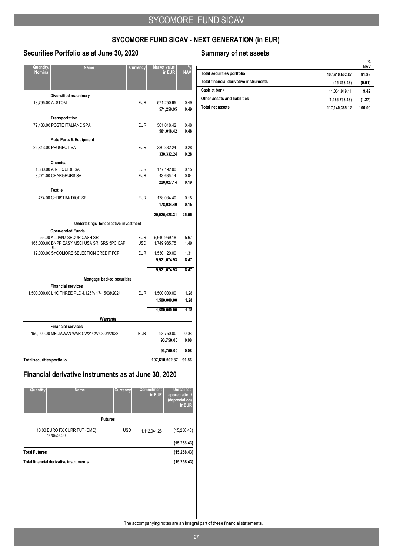## **Securities Portfolio as at June 30, 2020 Summary of net assets**

| Quantity/<br>Nominal              | <u>N</u> ame                                         | Currency   | Market value<br>in EUR   | NA۱          |
|-----------------------------------|------------------------------------------------------|------------|--------------------------|--------------|
|                                   | Diversified machinery                                |            |                          |              |
| 13,795.00 ALSTOM                  |                                                      | <b>EUR</b> | 571,250.95<br>571,250.95 | 0.49<br>0.49 |
|                                   | <b>Transportation</b>                                |            |                          |              |
|                                   | 72,483.00 POSTE ITALIANE SPA                         | <b>EUR</b> | 561,018.42<br>561,018.42 | 0.48<br>0.48 |
|                                   | <b>Auto Parts &amp; Equipment</b>                    |            |                          |              |
|                                   | 22,813.00 PEUGEOT SA                                 | <b>EUR</b> | 330,332.24<br>330,332.24 | 0.28<br>0.28 |
|                                   | Chemical                                             |            |                          |              |
|                                   | 1,380.00 AIR LIQUIDE SA                              | <b>EUR</b> | 177,192.00               | 0.15         |
|                                   | 3,271.00 CHARGEURS SA                                | <b>EUR</b> | 43,635.14<br>220,827.14  | 0.04<br>0.19 |
|                                   | <b>Textile</b>                                       |            |                          |              |
|                                   | 474.00 CHRISTIAN DIOR SE                             | <b>EUR</b> | 178,034.40               | 0.15         |
|                                   |                                                      |            | 178,034.40               | 0.15         |
|                                   |                                                      |            | 29,925,428.31            | 25.55        |
|                                   | Undertakings for collective investment               |            |                          |              |
|                                   | <b>Open-ended Funds</b>                              |            |                          |              |
|                                   | 55.00 ALLIANZ SECURICASH SRI                         | <b>EUR</b> | 6.640.969.18             | 5.67         |
|                                   | 165,000.00 BNPP EASY MSCI USA SRI SRS 5PC CAP<br>9IL | <b>USD</b> | 1,749,985.75             | 1.49         |
|                                   | 12,000.00 SYCOMORE SELECTION CREDIT FCP              | <b>EUR</b> | 1,530,120.00             | 1.31         |
|                                   |                                                      |            | 9,921,074.93             | 8.47         |
|                                   |                                                      |            | 9,921,074.93             | 8.47         |
|                                   | Mortgage backed securities                           |            |                          |              |
|                                   | <b>Financial services</b>                            |            |                          |              |
|                                   | 1,500,000.00 LHC THREE PLC 4.125% 17-15/08/2024      | <b>EUR</b> | 1,500,000.00             | 1.28         |
|                                   |                                                      |            | 1,500,000.00             | 1.28         |
|                                   |                                                      |            | 1,500,000.00             | 1.28         |
|                                   | <b>Warrants</b>                                      |            |                          |              |
|                                   | <b>Financial services</b>                            |            |                          |              |
|                                   | 150,000.00 MEDIAWAN WAR-CW21CW 03/04/2022            | <b>EUR</b> | 93,750.00                | 0.08         |
|                                   |                                                      |            | 93,750.00                | 0.08         |
|                                   |                                                      |            | 93,750.00                | 0.08         |
| <b>Total securities portfolio</b> |                                                      |            | 107,610,502.87           | 91.86        |

## **Financial derivative instruments as at June 30, 2020**

| Quantity                               | <b>Name</b>                  | <b>Currency</b> | <b>Commitment</b><br>in EUR | <b>Unrealised</b><br>appreciation/<br>(depreciation)<br>in EUR |
|----------------------------------------|------------------------------|-----------------|-----------------------------|----------------------------------------------------------------|
|                                        |                              | <b>Futures</b>  |                             |                                                                |
| 14/09/2020                             | 10.00 EURO FX CURR FUT (CME) | <b>USD</b>      | 1,112,941.28                | (15, 258.43)                                                   |
|                                        |                              |                 |                             | (15, 258.43)                                                   |
| <b>Total Futures</b>                   |                              |                 |                             | (15, 258.43)                                                   |
| Total financial derivative instruments |                              |                 |                             | (15, 258.43)                                                   |

|                                        |                | <b>NAV</b> |
|----------------------------------------|----------------|------------|
| Total securities portfolio             | 107.610.502.87 | 91.86      |
| Total financial derivative instruments | (15, 258.43)   | (0.01)     |
| Cash at bank                           | 11.031.919.11  | 9.42       |
| Other assets and liabilities           | (1,486,798.43) | (1.27)     |
| Total net assets                       | 117.140.365.12 | 100.00     |

**%**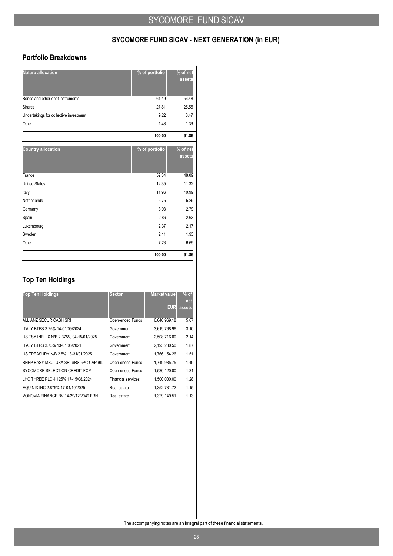### **Portfolio Breakdowns**

| <b>Nature allocation</b>               | % of portfolio | $%$ of net<br>assets |
|----------------------------------------|----------------|----------------------|
| Bonds and other debt instruments       | 61.49          | 56.48                |
| Shares                                 | 27.81          | 25.55                |
| Undertakings for collective investment | 9.22           | 8.47                 |
| Other                                  | 1.48           | 1.36                 |
|                                        | 100.00         | 91.86                |
| <b>Country allocation</b>              | % of portfolio | % of net<br>assets   |
| France                                 | 52.34          | 48.09                |
| <b>United States</b>                   | 12.35          | 11.32                |
| Italy                                  | 11.96          | 10.99                |
| Netherlands                            | 5.75           | 5.29                 |
| Germany                                | 3.03           | 2.79                 |
| Spain                                  | 2.86           | 2.63                 |
| Luxembourg                             | 2.37           | 2.17                 |
| Sweden                                 | 2.11           | 1.93                 |
| Other                                  | 7.23           | 6.65                 |
|                                        | 100.00         | 91.86                |

## **Top Ten Holdings**

| <b>Top Ten Holdings</b>                 | <b>Sector</b>             | <b>Market value</b> | $%$ of<br><b>net</b> |
|-----------------------------------------|---------------------------|---------------------|----------------------|
|                                         |                           | <b>EUR</b>          | assets               |
| ALLIANZ SECURICASH SRI                  | Open-ended Funds          | 6,640,969.18        | 5.67                 |
| ITALY BTPS 3.75% 14-01/09/2024          | Government                | 3,619,768.96        | 3.10                 |
| US TSY INFL IX N/B 2.375% 04-15/01/2025 | Government                | 2.508.716.00        | 2.14                 |
| ITALY BTPS 3.75% 13-01/05/2021          | Government                | 2,193,280.50        | 1.87                 |
| US TREASURY N/B 2.5% 18-31/01/2025      | Government                | 1,766,154.26        | 1.51                 |
| BNPP EASY MSCLUSA SRLSRS 5PC CAP 9IL    | Open-ended Funds          | 1,749,985.75        | 1.49                 |
| SYCOMORE SELECTION CREDIT FCP           | Open-ended Funds          | 1,530,120.00        | 1.31                 |
| LHC THREE PLC 4.125% 17-15/08/2024      | <b>Financial services</b> | 1.500.000.00        | 1.28                 |
| EQUINIX INC 2.875% 17-01/10/2025        | Real estate               | 1,352,781.72        | 1.15                 |
| VONOVIA FINANCE BV 14-29/12/2049 FRN    | Real estate               | 1.329.149.51        | 1.13                 |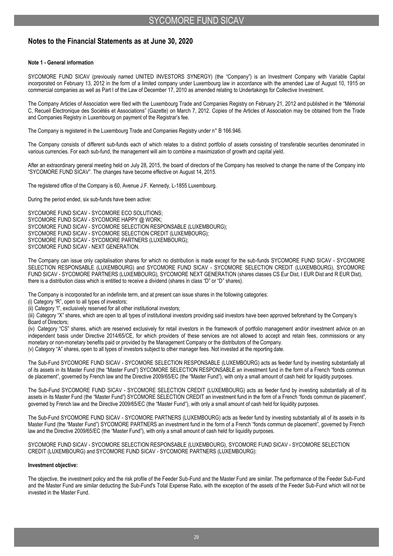## **Notes to the Financial Statements as at June 30, 2020**

### **Note 1 - General information**

SYCOMORE FUND SICAV (previously named UNITED INVESTORS SYNERGY) (the "Company") is an Investment Company with Variable Capital incorporated on February 13, 2012 in the form of a limited company under Luxembourg law in accordance with the amended Law of August 10, 1915 on commercial companies as well as Part I of the Law of December 17, 2010 as amended relating to Undertakings for Collective Investment.

The Company Articles of Association were filed with the Luxembourg Trade and Companies Registry on February 21, 2012 and published in the "Mémorial C, Recueil Électronique des Sociétés et Associations" (Gazette) on March 7, 2012. Copies of the Articles of Association may be obtained from the Trade and Companies Registry in Luxembourg on payment of the Registrar's fee.

The Company is registered in the Luxembourg Trade and Companies Registry under n° B 166.946.

The Company consists of different sub-funds each of which relates to a distinct portfolio of assets consisting of transferable securities denominated in various currencies. For each sub-fund, the management will aim to combine a maximization of growth and capital yield.

After an extraordinary general meeting held on July 28, 2015, the board of directors of the Company has resolved to change the name of the Company into "SYCOMORE FUND SICAV". The changes have become effective on August 14, 2015.

The registered office of the Company is 60, Avenue J.F. Kennedy, L-1855 Luxembourg.

During the period ended, six sub-funds have been active:

SYCOMORE FUND SICAV - SYCOMORE ECO SOLUTIONS; SYCOMORE FUND SICAV - SYCOMORE HAPPY @ WORK; SYCOMORE FUND SICAV - SYCOMORE SELECTION RESPONSABLE (LUXEMBOURG); SYCOMORE FUND SICAV - SYCOMORE SELECTION CREDIT (LUXEMBOURG); SYCOMORE FUND SICAV - SYCOMORE PARTNERS (LUXEMBOURG); SYCOMORE FUND SICAV - NEXT GENERATION.

The Company can issue only capitalisation shares for which no distribution is made except for the sub-funds SYCOMORE FUND SICAV - SYCOMORE SELECTION RESPONSABLE (LUXEMBOURG) and SYCOMORE FUND SICAV - SYCOMORE SELECTION CREDIT (LUXEMBOURG), SYCOMORE FUND SICAV - SYCOMORE PARTNERS (LUXEMBOURG), SYCOMORE NEXT GENERATION (shares classes CS Eur Dist, I EUR Dist and R EUR Dist), there is a distribution class which is entitled to receive a dividend (shares in class "D" or "D" shares).

The Company is incorporated for an indefinite term, and at present can issue shares in the following categories:

(i) Category "R", open to all types of investors;

(ii) Category "l", exclusively reserved for all other institutional investors;

(iii) Category "X" shares, which are open to all types of institutional investors providing said investors have been approved beforehand by the Company's Board of Directors;

(iv) Category "CS" shares, which are reserved exclusively for retail investors in the framework of portfolio management and/or investment advice on an independent basis under Directive 2014/65/CE, for which providers of these services are not allowed to accept and retain fees, commissions or any monetary or non-monetary benefits paid or provided by the Management Company or the distributors of theCompany. (v) Category "A" shares, open to all types of investors subject to other manager fees. Not invested at the reporting date.

The Sub-Fund SYCOMORE FUND SICAV - SYCOMORE SELECTION RESPONSABLE (LUXEMBOURG) acts as feeder fund by investing substantially all of its assets in its Master Fund (the "Master Fund") SYCOMORE SELECTION RESPONSABLE an investment fund in the form of a French "fonds commun

de placement", governed by French law and the Directive 2009/65/EC (the "Master Fund"), with only a small amount of cash held for liquidity purposes.

The Sub-Fund SYCOMORE FUND SICAV - SYCOMORE SELECTION CREDIT (LUXEMBOURG) acts as feeder fund by investing substantially all of its assets in its Master Fund (the "Master Fund") SYCOMORE SELECTION CREDIT an investment fund in the form of a French "fonds commun de placement", governed by French law and the Directive 2009/65/EC (the "Master Fund"), with only a small amount of cash held for liquidity purposes.

The Sub-Fund SYCOMORE FUND SICAV - SYCOMORE PARTNERS (LUXEMBOURG) acts as feeder fund by investing substantially all of its assets in its Master Fund (the "Master Fund") SYCOMORE PARTNERS an investment fund in the form of a French "fonds commun de placement", governed by French law and the Directive 2009/65/EC (the "Master Fund"), with only a small amount of cash held for liquidity purposes.

SYCOMORE FUND SICAV - SYCOMORE SELECTION RESPONSABLE (LUXEMBOURG), SYCOMORE FUND SICAV - SYCOMORE SELECTION CREDIT (LUXEMBOURG) and SYCOMORE FUND SICAV - SYCOMORE PARTNERS (LUXEMBOURG):

### **Investment objective:**

The objective, the investment policy and the risk profile of the Feeder Sub-Fund and the Master Fund are similar. The performance of the Feeder Sub-Fund and the Master Fund are similar deducting the Sub-Fund's Total Expense Ratio, with the exception of the assets of the Feeder Sub-Fund which will not be invested in the Master Fund.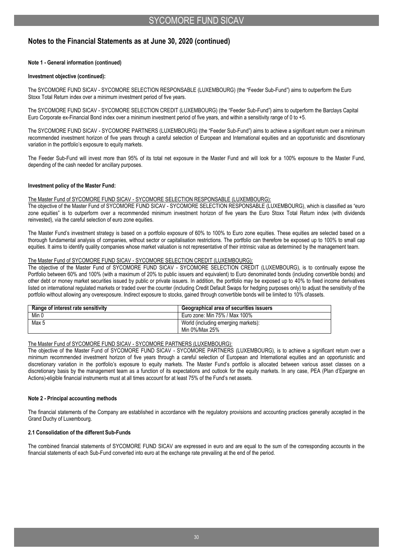### **Note 1 - General information (continued)**

### **Investment objective (continued):**

The SYCOMORE FUND SICAV - SYCOMORE SELECTION RESPONSABLE (LUXEMBOURG) (the "Feeder Sub-Fund") aims to outperform the Euro Stoxx Total Return index over a minimum investment period of five years.

The SYCOMORE FUND SICAV - SYCOMORE SELECTION CREDIT (LUXEMBOURG) (the "Feeder Sub-Fund") aims to outperform the Barclays Capital Euro Corporate ex-Financial Bond index over a minimum investment period of five years, and within a sensitivity range of 0 to +5.

The SYCOMORE FUND SICAV - SYCOMORE PARTNERS (LUXEMBOURG) (the "Feeder Sub-Fund") aims to achieve a significant return over a minimum recommended investment horizon of five years through a careful selection of European and International equities and an opportunistic and discretionary variation in the portfolio's exposure to equity markets.

The Feeder Sub-Fund will invest more than 95% of its total net exposure in the Master Fund and will look for a 100% exposure to the Master Fund, depending of the cash needed for ancillary purposes.

### **Investment policy of the Master Fund:**

### The Master Fund of SYCOMORE FUND SICAV - SYCOMORE SELECTION RESPONSABLE (LUXEMBOURG):

The objective of the Master Fund of SYCOMORE FUND SICAV - SYCOMORE SELECTION RESPONSABLE (LUXEMBOURG), which is classified as "euro zone equities" is to outperform over a recommended minimum investment horizon of five years the Euro Stoxx Total Return index (with dividends reinvested), via the careful selection of euro zone equities.

The Master Fund's investment strategy is based on a portfolio exposure of 60% to 100% to Euro zone equities. These equities are selected based on a thorough fundamental analysis of companies, without sector or capitalisation restrictions. The portfolio can therefore be exposed up to 100% to small cap equities. It aims to identify quality companies whose market valuation is not representative of their intrinsic value as determined by the management team.

### The Master Fund of SYCOMORE FUND SICAV - SYCOMORE SELECTION CREDIT (LUXEMBOURG):

The objective of the Master Fund of SYCOMORE FUND SICAV - SYCOMORE SELECTION CREDIT (LUXEMBOURG), is to continually expose the Portfolio between 60% and 100% (with a maximum of 20% to public issuers and equivalent) to Euro denominated bonds (including convertible bonds) and other debt or money market securities issued by public or private issuers. In addition, the portfolio may be exposed up to 40% to fixed income derivatives listed on international regulated markets or traded over the counter (including Credit Default Swaps for hedging purposes only) to adjust the sensitivity of the portfolio without allowing any overexposure. Indirect exposure to stocks, gained through convertible bonds will be limited to 10% ofassets.

| Range of interest rate sensitivity | Geographical area of securities issuers |
|------------------------------------|-----------------------------------------|
| Min 0                              | Euro zone: Min 75% / Max 100%           |
| Max 5                              | World (including emerging markets):     |
|                                    | Min 0%/Max 25%                          |

### The Master Fund of SYCOMORE FUND SICAV - SYCOMORE PARTNERS (LUXEMBOURG):

The objective of the Master Fund of SYCOMORE FUND SICAV - SYCOMORE PARTNERS (LUXEMBOURG), is to achieve a significant return over a minimum recommended investment horizon of five years through a careful selection of European and International equities and an opportunistic and discretionary variation in the portfolio's exposure to equity markets. The Master Fund's portfolio is allocated between various asset classes on a discretionary basis by the management team as a function of its expectations and outlook for the equity markets. In any case, PEA (Plan d'Epargne en Actions)-eligible financial instruments must at all times account for at least 75% of the Fund's net assets.

### **Note 2 - Principal accounting methods**

The financial statements of the Company are established in accordance with the regulatory provisions and accounting practices generally accepted in the Grand Duchy of Luxembourg.

### **2.1 Consolidation of the different Sub-Funds**

The combined financial statements of SYCOMORE FUND SICAV are expressed in euro and are equal to the sum of the corresponding accounts in the financial statements of each Sub-Fund converted into euro at the exchange rate prevailing at the end of the period.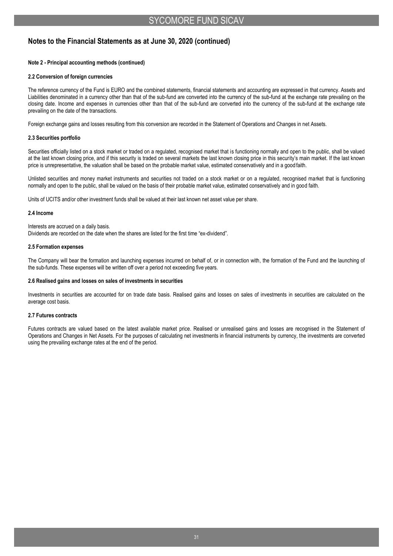### **Note 2 - Principal accounting methods (continued)**

### **2.2 Conversion of foreign currencies**

The reference currency of the Fund is EURO and the combined statements, financial statements and accounting are expressed in that currency. Assets and Liabilities denominated in a currency other than that of the sub-fund are converted into the currency of the sub-fund at the exchange rate prevailing on the closing date. Income and expenses in currencies other than that of the sub-fund are converted into the currency of the sub-fund at the exchange rate prevailing on the date of the transactions.

Foreign exchange gains and losses resulting from this conversion are recorded in the Statement of Operations and Changes in net Assets.

### **2.3 Securities portfolio**

Securities officially listed on a stock market or traded on a regulated, recognised market that is functioning normally and open to the public, shall be valued at the last known closing price, and if this security is traded on several markets the last known closing price in this security's main market. If the last known price is unrepresentative, the valuation shall be based on the probable market value, estimated conservatively and in a good faith.

Unlisted securities and money market instruments and securities not traded on a stock market or on a regulated, recognised market that is functioning normally and open to the public, shall be valued on the basis of their probable market value, estimated conservatively and in good faith.

Units of UCITS and/or other investment funds shall be valued at their last known net asset value per share.

### **2.4 Income**

Interests are accrued on a daily basis.

Dividends are recorded on the date when the shares are listed for the first time "ex-dividend".

### **2.5 Formation expenses**

The Company will bear the formation and launching expenses incurred on behalf of, or in connection with, the formation of the Fund and the launching of the sub-funds. These expenses will be written off over a period not exceeding five years.

### **2.6 Realised gains and losses on sales of investments in securities**

Investments in securities are accounted for on trade date basis. Realised gains and losses on sales of investments in securities are calculated on the average cost basis.

### **2.7 Futures contracts**

Futures contracts are valued based on the latest available market price. Realised or unrealised gains and losses are recognised in the Statement of Operations and Changes in Net Assets. For the purposes of calculating net investments in financial instruments by currency, the investments are converted using the prevailing exchange rates at the end of the period.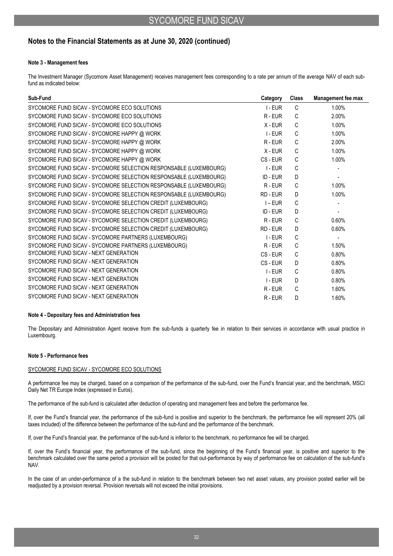### **Note 3 - Management fees**

The Investment Manager (Sycomore Asset Management) receives management fees corresponding to a rate per annum of the average NAV of each subfund as indicated below:

| Sub-Fund                                                          | Category  | <b>Class</b> | <b>Management fee max</b> |
|-------------------------------------------------------------------|-----------|--------------|---------------------------|
| SYCOMORE FUND SICAV - SYCOMORE ECO SOLUTIONS                      | $I$ - EUR | C            | 1.00%                     |
| SYCOMORE FUND SICAV - SYCOMORE ECO SOLUTIONS                      | R-EUR     | C            | 2.00%                     |
| SYCOMORE FUND SICAV - SYCOMORE ECO SOLUTIONS                      | $X - EUR$ | C            | 1.00%                     |
| SYCOMORE FUND SICAV - SYCOMORE HAPPY @ WORK                       | I-EUR     | C            | 1.00%                     |
| SYCOMORE FUND SICAV - SYCOMORE HAPPY @ WORK                       | R-EUR     | C            | 2.00%                     |
| SYCOMORE FUND SICAV - SYCOMORE HAPPY @ WORK                       | $X - EUR$ | C            | 1.00%                     |
| SYCOMORE FUND SICAV - SYCOMORE HAPPY @ WORK                       | CS-EUR    | C            | 1.00%                     |
| SYCOMORE FUND SICAV - SYCOMORE SELECTION RESPONSABLE (LUXEMBOURG) | I-EUR     | C            |                           |
| SYCOMORE FUND SICAV - SYCOMORE SELECTION RESPONSABLE (LUXEMBOURG) | ID - EUR  | D            |                           |
| SYCOMORE FUND SICAV - SYCOMORE SELECTION RESPONSABLE (LUXEMBOURG) | R-EUR     | C            | 1.00%                     |
| SYCOMORE FUND SICAV - SYCOMORE SELECTION RESPONSABLE (LUXEMBOURG) | RD - EUR  | D            | 1.00%                     |
| SYCOMORE FUND SICAV - SYCOMORE SELECTION CREDIT (LUXEMBOURG)      | $I$ – EUR | C            |                           |
| SYCOMORE FUND SICAV - SYCOMORE SELECTION CREDIT (LUXEMBOURG)      | ID-EUR    | D            |                           |
| SYCOMORE FUND SICAV - SYCOMORE SELECTION CREDIT (LUXEMBOURG)      | R-EUR     | C            | 0.60%                     |
| SYCOMORE FUND SICAV - SYCOMORE SELECTION CREDIT (LUXEMBOURG)      | RD - EUR  | D            | 0.60%                     |
| SYCOMORE FUND SICAV - SYCOMORE PARTNERS (LUXEMBOURG)              | $I$ - EUR | C            | $\blacksquare$            |
| SYCOMORE FUND SICAV - SYCOMORE PARTNERS (LUXEMBOURG)              | R-EUR     | C            | 1.50%                     |
| SYCOMORE FUND SICAV - NEXT GENERATION                             | CS - EUR  | C            | 0.80%                     |
| SYCOMORE FUND SICAV - NEXT GENERATION                             | CS - EUR  | D.           | 0.80%                     |
| SYCOMORE FUND SICAV - NEXT GENERATION                             | I-EUR     | C            | 0.80%                     |
| SYCOMORE FUND SICAV - NEXT GENERATION                             | $I$ - EUR | D            | 0.80%                     |
| SYCOMORE FUND SICAV - NEXT GENERATION                             | R-EUR     | C            | 1.60%                     |
| SYCOMORE FUND SICAV - NEXT GENERATION                             | $R$ - EUR | D            | 1.60%                     |

### **Note 4 - Depositary fees and Administration fees**

The Depositary and Administration Agent receive from the sub-funds a quarterly fee in relation to their services in accordance with usual practice in Luxembourg.

### **Note 5 - Performance fees**

### SYCOMORE FUND SICAV - SYCOMORE ECO SOLUTIONS

A performance fee may be charged, based on a comparison of the performance of the sub-fund, over the Fund's financial year, and the benchmark, MSCI Daily Net TR Europe Index (expressed in Euros).

The performance of the sub-fund is calculated after deduction of operating and management fees and before the performance fee.

If, over the Fund's financial year, the performance of the sub-fund is positive and superior to the benchmark, the performance fee will represent 20% (all taxes included) of the difference between the performance of the sub-fund and the performance of the benchmark.

If, over the Fund's financial year, the performance of the sub-fund is inferior to the benchmark, no performance fee will be charged.

If, over the Fund's financial year, the performance of the sub-fund, since the beginning of the Fund's financial year, is positive and superior to the benchmark calculated over the same period a provision will be posted for that out-performance by way of performance fee on calculation of the sub-fund's NAV.

In the case of an under-performance of a the sub-fund in relation to the benchmark between two net asset values, any provision posted earlier will be readjusted by a provision reversal. Provision reversals will not exceed the initial provisions.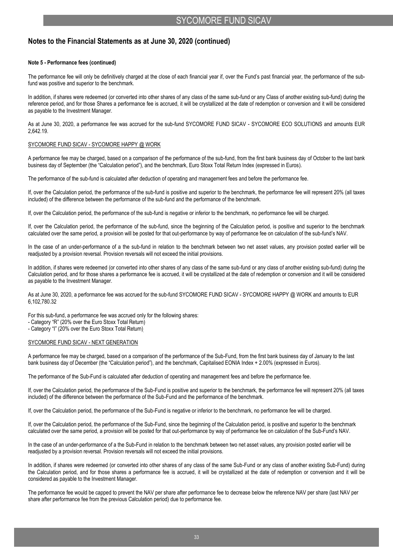### **Note 5 - Performance fees (continued)**

The performance fee will only be definitively charged at the close of each financial year if, over the Fund's past financial year, the performance of the subfund was positive and superior to the benchmark.

In addition, if shares were redeemed (or converted into other shares of any class of the same sub-fund or any Class of another existing sub-fund) during the reference period, and for those Shares a performance fee is accrued, it will be crystallized at the date of redemption or conversion and it will be considered as payable to the Investment Manager.

As at June 30, 2020, a performance fee was accrued for the sub-fund SYCOMORE FUND SICAV - SYCOMORE ECO SOLUTIONS and amounts EUR 2,642.19.

#### SYCOMORE FUND SICAV - SYCOMORE HAPPY @ WORK

A performance fee may be charged, based on a comparison of the performance of the sub-fund, from the first bank business day of October to the last bank business day of September (the "Calculation period"), and the benchmark, Euro Stoxx Total Return Index (expressed in Euros).

The performance of the sub-fund is calculated after deduction of operating and management fees and before the performance fee.

If, over the Calculation period, the performance of the sub-fund is positive and superior to the benchmark, the performance fee will represent 20% (all taxes included) of the difference between the performance of the sub-fund and the performance of the benchmark.

If, over the Calculation period, the performance of the sub-fund is negative or inferior to the benchmark, no performance fee will be charged.

If, over the Calculation period, the performance of the sub-fund, since the beginning of the Calculation period, is positive and superior to the benchmark calculated over the same period, a provision will be posted for that out-performance by way of performance fee on calculation of the sub-fund's NAV.

In the case of an under-performance of a the sub-fund in relation to the benchmark between two net asset values, any provision posted earlier will be readjusted by a provision reversal. Provision reversals will not exceed the initial provisions.

In addition, if shares were redeemed (or converted into other shares of any class of the same sub-fund or any class of another existing sub-fund) during the Calculation period, and for those shares a performance fee is accrued, it will be crystallized at the date of redemption or conversion and it will be considered as payable to the Investment Manager.

As at June 30, 2020, a performance fee was accrued for the sub-fund SYCOMORE FUND SICAV - SYCOMORE HAPPY @ WORK and amounts to EUR 6,102,780.32

For this sub-fund, a performance fee was accrued only for the following shares:

- Category "R" (20% over the Euro Stoxx Total Return)

- Category "I" (20% over the Euro Stoxx Total Return)

#### SYCOMORE FUND SICAV - NEXT GENERATION

A performance fee may be charged, based on a comparison of the performance of the Sub-Fund, from the first bank business day of January to the last bank business day of December (the "Calculation period"), and the benchmark, Capitalised EONIA Index + 2.00% (expressed in Euros).

The performance of the Sub-Fund is calculated after deduction of operating and management fees and before the performance fee.

If, over the Calculation period, the performance of the Sub-Fund is positive and superior to the benchmark, the performance fee will represent 20% (all taxes included) of the difference between the performance of the Sub-Fund and the performance of the benchmark.

If, over the Calculation period, the performance of the Sub-Fund is negative or inferior to the benchmark, no performance fee will be charged.

If, over the Calculation period, the performance of the Sub-Fund, since the beginning of the Calculation period, is positive and superior to the benchmark calculated over the same period, a provision will be posted for that out-performance by way of performance fee on calculation of the Sub-Fund's NAV.

In the case of an under-performance of a the Sub-Fund in relation to the benchmark between two net asset values, any provision posted earlier will be readjusted by a provision reversal. Provision reversals will not exceed the initial provisions.

In addition, if shares were redeemed (or converted into other shares of any class of the same Sub-Fund or any class of another existing Sub-Fund) during the Calculation period, and for those shares a performance fee is accrued, it will be crystallized at the date of redemption or conversion and it will be considered as payable to the Investment Manager.

The performance fee would be capped to prevent the NAV per share after performance fee to decrease below the reference NAV per share (last NAV per share after performance fee from the previous Calculation period) due to performance fee.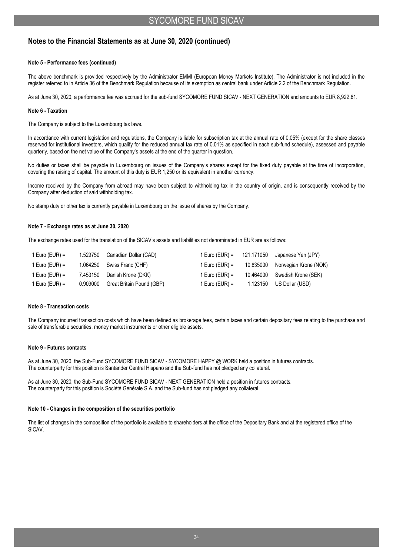### **Note 5 - Performance fees (continued)**

The above benchmark is provided respectively by the Administrator EMMI (European Money Markets Institute). The Administrator is not included in the register referred to in Article 36 of the Benchmark Regulation because of its exemption as central bank under Article 2.2 of the Benchmark Regulation.

As at June 30, 2020, a performance fee was accrued for the sub-fund SYCOMORE FUND SICAV - NEXT GENERATION and amounts to EUR 8,922.61.

### **Note 6 - Taxation**

The Company is subject to the Luxembourg tax laws.

In accordance with current legislation and regulations, the Company is liable for subscription tax at the annual rate of 0.05% (except for the share classes reserved for institutional investors, which qualify for the reduced annual tax rate of 0.01% as specified in each sub-fund schedule), assessed and payable quarterly, based on the net value of the Company's assets at the end of the quarter in question.

No duties or taxes shall be payable in Luxembourg on issues of the Company's shares except for the fixed duty payable at the time of incorporation, covering the raising of capital. The amount of this duty is EUR 1,250 or its equivalent in another currency.

Income received by the Company from abroad may have been subject to withholding tax in the country of origin, and is consequently received by the Company after deduction of said withholding tax.

No stamp duty or other tax is currently payable in Luxembourg on the issue of shares by the Company.

### **Note 7 - Exchange rates as at June 30, 2020**

The exchange rates used for the translation of the SICAV's assets and liabilities not denominated in EUR are as follows:

| 1 Euro (EUR) = | 1.529750 Canadian Dollar (CAD)     |                | $1 \text{ Euro}$ (EUR) = $121.171050$ Japanese Yen (JPY) |
|----------------|------------------------------------|----------------|----------------------------------------------------------|
| 1 Euro (EUR) = | 1.064250 Swiss Franc (CHF)         | 1 Euro (EUR) = | 10.835000 Norwegian Krone (NOK)                          |
| 1 Euro (EUR) = | 7.453150 Danish Krone (DKK)        | 1 Euro (EUR) = | 10.464000 Swedish Krone (SEK)                            |
| 1 Euro (EUR) = | 0.909000 Great Britain Pound (GBP) | 1 Euro (EUR) = | 1.123150 US Dollar (USD)                                 |

### **Note 8 - Transaction costs**

The Company incurred transaction costs which have been defined as brokerage fees, certain taxes and certain depositary fees relating to the purchase and sale of transferable securities, money market instruments or other eligible assets.

### **Note 9 - Futures contacts**

As at June 30, 2020, the Sub-Fund SYCOMORE FUND SICAV - SYCOMORE HAPPY @ WORK held a position in futures contracts. The counterparty for this position is Santander Central Hispano and the Sub-fund has not pledged any collateral.

As at June 30, 2020, the Sub-Fund SYCOMORE FUND SICAV - NEXT GENERATION held a position in futures contracts. The counterparty for this position is Société Générale S.A. and the Sub-fund has not pledged any collateral.

### **Note 10 - Changes in the composition of the securities portfolio**

The list of changes in the composition of the portfolio is available to shareholders at the office of the Depositary Bank and at the registered office of the SICAV.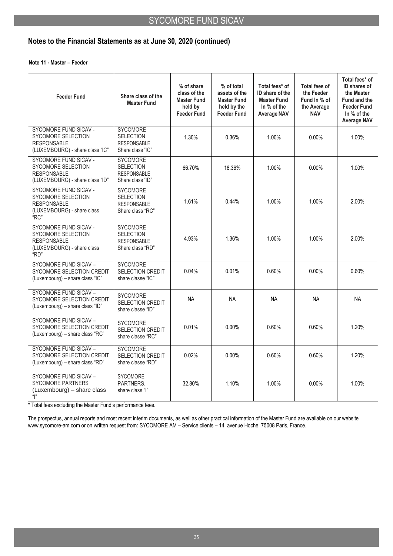### **Note 11 - Master – Feeder**

| <b>Feeder Fund</b>                                                                                      | Share class of the<br><b>Master Fund</b>                                      | % of share<br>class of the<br><b>Master Fund</b><br>held by<br><b>Feeder Fund</b> | % of total<br>assets of the<br><b>Master Fund</b><br>held by the<br><b>Feeder Fund</b> | Total fees* of<br>ID share of the<br><b>Master Fund</b><br>In % of the<br><b>Average NAV</b> | Total fees of<br>the Feeder<br>Fund In % of<br>the Average<br><b>NAV</b> | Total fees* of<br>ID shares of<br>the Master<br>Fund and the<br><b>Feeder Fund</b><br>In % of the<br><b>Average NAV</b> |
|---------------------------------------------------------------------------------------------------------|-------------------------------------------------------------------------------|-----------------------------------------------------------------------------------|----------------------------------------------------------------------------------------|----------------------------------------------------------------------------------------------|--------------------------------------------------------------------------|-------------------------------------------------------------------------------------------------------------------------|
| SYCOMORE FUND SICAV -<br>SYCOMORE SELECTION<br><b>RESPONSABLE</b><br>(LUXEMBOURG) - share class "IC"    | <b>SYCOMORE</b><br><b>SELECTION</b><br><b>RESPONSABLE</b><br>Share class "IC" | 1.30%                                                                             | 0.36%                                                                                  | 1.00%                                                                                        | $0.00\%$                                                                 | 1.00%                                                                                                                   |
| SYCOMORE FUND SICAV -<br>SYCOMORE SELECTION<br><b>RESPONSABLE</b><br>(LUXEMBOURG) - share class "ID"    | <b>SYCOMORE</b><br><b>SELECTION</b><br><b>RESPONSABLE</b><br>Share class "ID" | 66.70%                                                                            | 18.36%                                                                                 | 1.00%                                                                                        | $0.00\%$                                                                 | 1.00%                                                                                                                   |
| SYCOMORE FUND SICAV -<br>SYCOMORE SELECTION<br><b>RESPONSABLE</b><br>(LUXEMBOURG) - share class<br>"RC" | <b>SYCOMORE</b><br><b>SELECTION</b><br><b>RESPONSABLE</b><br>Share class "RC" | 1.61%                                                                             | 0.44%                                                                                  | 1.00%                                                                                        | 1.00%                                                                    | $2.00\%$                                                                                                                |
| SYCOMORE FUND SICAV -<br>SYCOMORE SELECTION<br><b>RESPONSABLE</b><br>(LUXEMBOURG) - share class<br>"RD" | <b>SYCOMORE</b><br><b>SELECTION</b><br><b>RESPONSABLE</b><br>Share class "RD" | 4.93%                                                                             | 1.36%                                                                                  | 1.00%                                                                                        | 1.00%                                                                    | 2.00%                                                                                                                   |
| SYCOMORE FUND SICAV -<br>SYCOMORE SELECTION CREDIT<br>(Luxembourg) - share class "IC"                   | <b>SYCOMORE</b><br>SELECTION CREDIT<br>share classe "IC"                      | 0.04%                                                                             | 0.01%                                                                                  | 0.60%                                                                                        | 0.00%                                                                    | 0.60%                                                                                                                   |
| SYCOMORE FUND SICAV -<br>SYCOMORE SELECTION CREDIT<br>(Luxembourg) - share class "ID"                   | <b>SYCOMORE</b><br>SELECTION CREDIT<br>share classe "ID"                      | <b>NA</b>                                                                         | <b>NA</b>                                                                              | <b>NA</b>                                                                                    | <b>NA</b>                                                                | <b>NA</b>                                                                                                               |
| SYCOMORE FUND SICAV -<br>SYCOMORE SELECTION CREDIT<br>(Luxembourg) - share class "RC"                   | <b>SYCOMORE</b><br>SELECTION CREDIT<br>share classe "RC"                      | 0.01%                                                                             | $0.00\%$                                                                               | 0.60%                                                                                        | 0.60%                                                                    | 1.20%                                                                                                                   |
| SYCOMORE FUND SICAV -<br>SYCOMORE SELECTION CREDIT<br>(Luxembourg) - share class "RD"                   | <b>SYCOMORE</b><br>SELECTION CREDIT<br>share classe "RD"                      | 0.02%                                                                             | $0.00\%$                                                                               | 0.60%                                                                                        | 0.60%                                                                    | 1.20%                                                                                                                   |
| SYCOMORE FUND SICAV -<br><b>SYCOMORE PARTNERS</b><br>(Luxembourg) – share class<br>" "                  | SYCOMORE<br>PARTNERS.<br>share class "I"                                      | 32.80%                                                                            | 1.10%                                                                                  | 1.00%                                                                                        | $0.00\%$                                                                 | 1.00%                                                                                                                   |

\* Total fees excluding the Master Fund's performance fees.

The prospectus, annual reports and most recent interim documents, as well as other practical information of the Master Fund are available on our websit[e](http://www.sycomore-am.com/) [www.sycomore-am.com o](http://www.sycomore-am.com/)r on written request from: SYCOMORE AM – Service clients – 14, avenue Hoche, 75008 Paris, France.